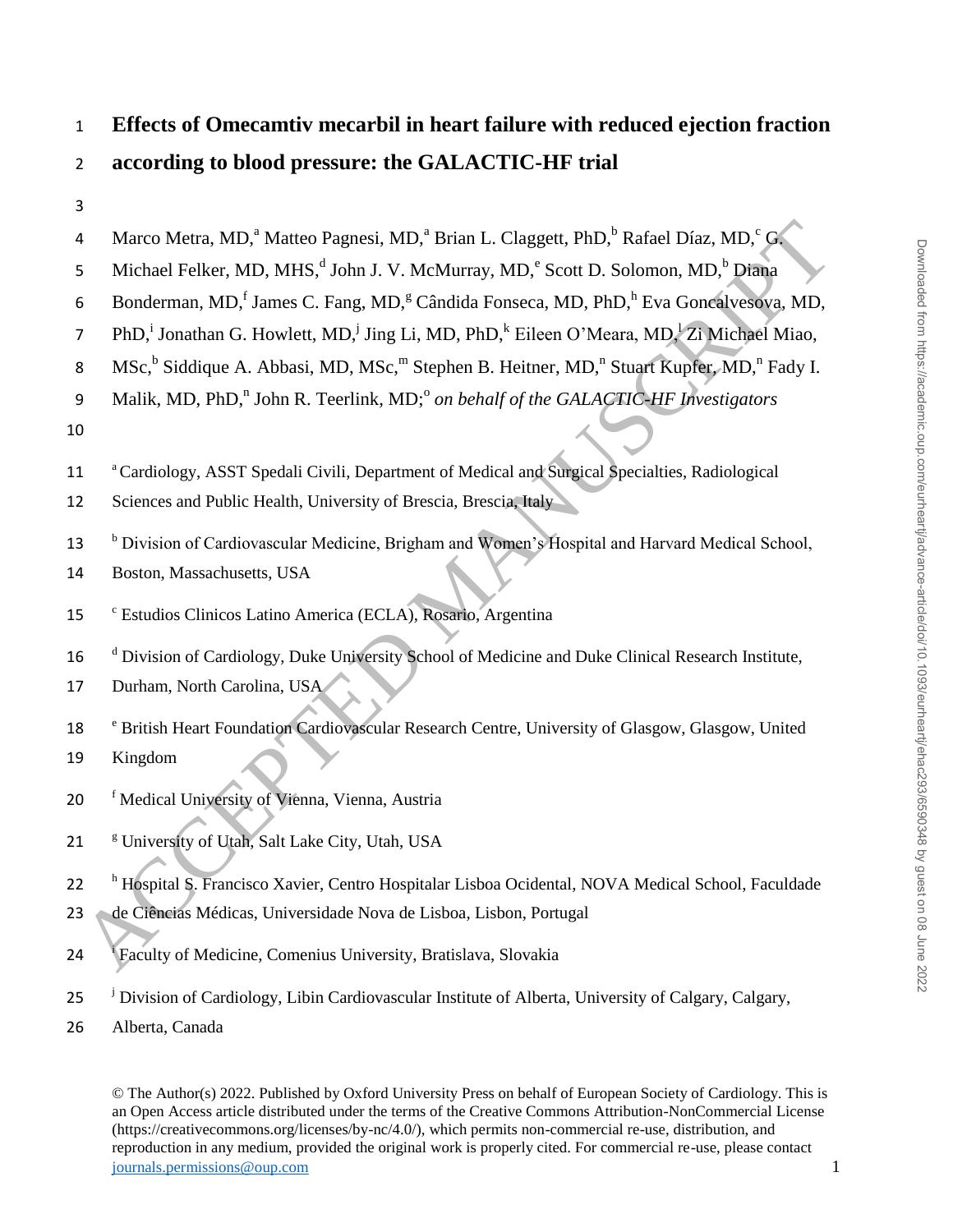# 1 **Effects of Omecamtiv mecarbil in heart failure with reduced ejection fraction**  2 **according to blood pressure: the GALACTIC-HF trial**

| 4              | Marco Metra, MD, <sup>a</sup> Matteo Pagnesi, MD, <sup>a</sup> Brian L. Claggett, PhD, <sup>b</sup> Rafael Díaz, MD, <sup>c</sup> G.                                                                                                                                                                                                                                                                                                                                                                 |
|----------------|------------------------------------------------------------------------------------------------------------------------------------------------------------------------------------------------------------------------------------------------------------------------------------------------------------------------------------------------------------------------------------------------------------------------------------------------------------------------------------------------------|
| 5              | Michael Felker, MD, MHS, <sup>d</sup> John J. V. McMurray, MD, <sup>e</sup> Scott D. Solomon, MD, <sup>b</sup> Diana                                                                                                                                                                                                                                                                                                                                                                                 |
| 6              | Bonderman, MD, <sup>f</sup> James C. Fang, MD, <sup>g</sup> Cândida Fonseca, MD, PhD, <sup>h</sup> Eva Goncalvesova, MD,                                                                                                                                                                                                                                                                                                                                                                             |
| $\overline{7}$ | PhD, <sup>i</sup> Jonathan G. Howlett, MD, <sup>j</sup> Jing Li, MD, PhD, <sup>k</sup> Eileen O'Meara, MD, <sup>1</sup> Zi Michael Miao,                                                                                                                                                                                                                                                                                                                                                             |
| 8              | MSc, <sup>b</sup> Siddique A. Abbasi, MD, MSc, <sup>m</sup> Stephen B. Heitner, MD, <sup>n</sup> Stuart Kupfer, MD, <sup>n</sup> Fady I.                                                                                                                                                                                                                                                                                                                                                             |
| 9              | Malik, MD, PhD, <sup>n</sup> John R. Teerlink, MD; <sup>o</sup> on behalf of the GALACTIC-HF Investigators                                                                                                                                                                                                                                                                                                                                                                                           |
| 10             |                                                                                                                                                                                                                                                                                                                                                                                                                                                                                                      |
| 11             | <sup>a</sup> Cardiology, ASST Spedali Civili, Department of Medical and Surgical Specialties, Radiological                                                                                                                                                                                                                                                                                                                                                                                           |
| 12             | Sciences and Public Health, University of Brescia, Brescia, Italy                                                                                                                                                                                                                                                                                                                                                                                                                                    |
|                |                                                                                                                                                                                                                                                                                                                                                                                                                                                                                                      |
| 13             | <sup>b</sup> Division of Cardiovascular Medicine, Brigham and Women's Hospital and Harvard Medical School,                                                                                                                                                                                                                                                                                                                                                                                           |
| 14             | Boston, Massachusetts, USA                                                                                                                                                                                                                                                                                                                                                                                                                                                                           |
| 15             | <sup>c</sup> Estudios Clinicos Latino America (ECLA), Rosario, Argentina                                                                                                                                                                                                                                                                                                                                                                                                                             |
| 16             | <sup>d</sup> Division of Cardiology, Duke University School of Medicine and Duke Clinical Research Institute,                                                                                                                                                                                                                                                                                                                                                                                        |
| 17             | Durham, North Carolina, USA                                                                                                                                                                                                                                                                                                                                                                                                                                                                          |
| 18             | <sup>e</sup> British Heart Foundation Cardiovascular Research Centre, University of Glasgow, Glasgow, United                                                                                                                                                                                                                                                                                                                                                                                         |
| 19             | Kingdom                                                                                                                                                                                                                                                                                                                                                                                                                                                                                              |
| 20             | <sup>f</sup> Medical University of Vienna, Vienna, Austria                                                                                                                                                                                                                                                                                                                                                                                                                                           |
|                |                                                                                                                                                                                                                                                                                                                                                                                                                                                                                                      |
| 21             | <sup>g</sup> University of Utah, Salt Lake City, Utah, USA                                                                                                                                                                                                                                                                                                                                                                                                                                           |
| 22             | <sup>h</sup> Hospital S. Francisco Xavier, Centro Hospitalar Lisboa Ocidental, NOVA Medical School, Faculdade                                                                                                                                                                                                                                                                                                                                                                                        |
|                | 23 de Ciências Médicas, Universidade Nova de Lisboa, Lisbon, Portugal                                                                                                                                                                                                                                                                                                                                                                                                                                |
| 24             | Faculty of Medicine, Comenius University, Bratislava, Slovakia                                                                                                                                                                                                                                                                                                                                                                                                                                       |
| 25             | <sup>J</sup> Division of Cardiology, Libin Cardiovascular Institute of Alberta, University of Calgary, Calgary,                                                                                                                                                                                                                                                                                                                                                                                      |
| 26             | Alberta, Canada                                                                                                                                                                                                                                                                                                                                                                                                                                                                                      |
|                |                                                                                                                                                                                                                                                                                                                                                                                                                                                                                                      |
|                | © The Author(s) 2022. Published by Oxford University Press on behalf of European Society of Cardiology. This is<br>an Open Access article distributed under the terms of the Creative Commons Attribution-NonCommercial License<br>(https://creativecommons.org/licenses/by-nc/4.0/), which permits non-commercial re-use, distribution, and<br>reproduction in any medium, provided the original work is properly cited. For commercial re-use, please contact<br>journals.permissions@oup.com<br>1 |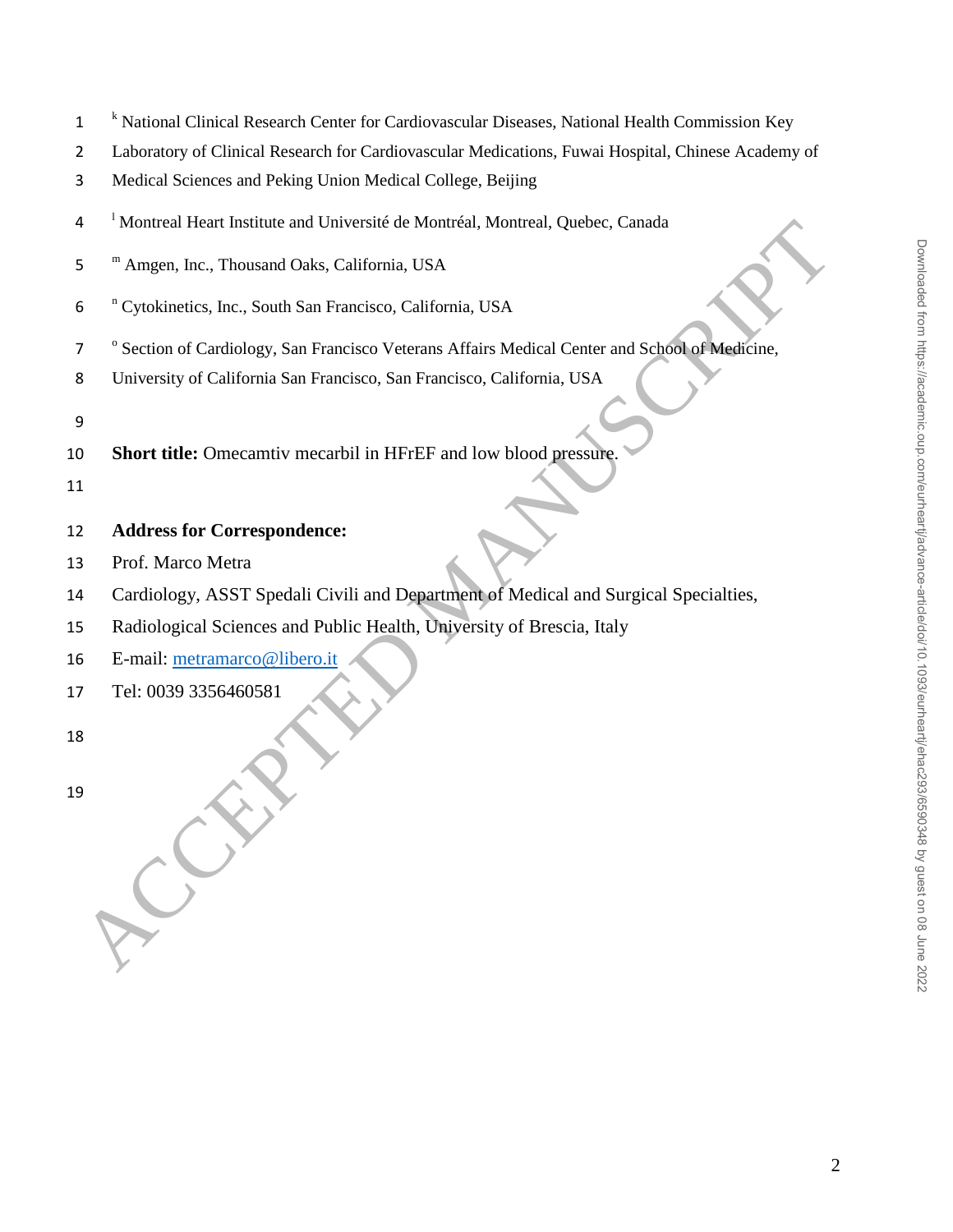- <sup>k</sup> National Clinical Research Center for Cardiovascular Diseases, National Health Commission Key
- Laboratory of Clinical Research for Cardiovascular Medications, Fuwai Hospital, Chinese Academy of
- Medical Sciences and Peking Union Medical College, Beijing
- <sup>1</sup> Montreal Heart Institute and Université de Montréal, Montreal, Quebec, Canada
- 5 <sup>m</sup> Amgen, Inc., Thousand Oaks, California, USA
- 6 <sup>n</sup> Cytokinetics, Inc., South San Francisco, California, USA
- <sup>o</sup> Section of Cardiology, San Francisco Veterans Affairs Medical Center and School of Medicine,
- University of California San Francisco, San Francisco, California, USA
- 
- **Short title:** Omecamtiv mecarbil in HFrEF and low blood pressure.
- 

## **Address for Correspondence:**

- Prof. Marco Metra
- Cardiology, ASST Spedali Civili and Department of Medical and Surgical Specialties, 4 Montreal Heart Institute and Universite de Montreal, Montreal, Quebec, Canada<br>
5 <sup>m</sup>Amgen, Ine., Thousand Oaks, California, USA<br>
6 <sup>n</sup>Cytokinetics, Ine., South San Francisco , California, USA<br>
7 <sup>7</sup> Scation of Carliforni
- Radiological Sciences and Public Health, University of Brescia, Italy
- E-mail: metramarco@libero.it
- Tel: 0039 3356460581
-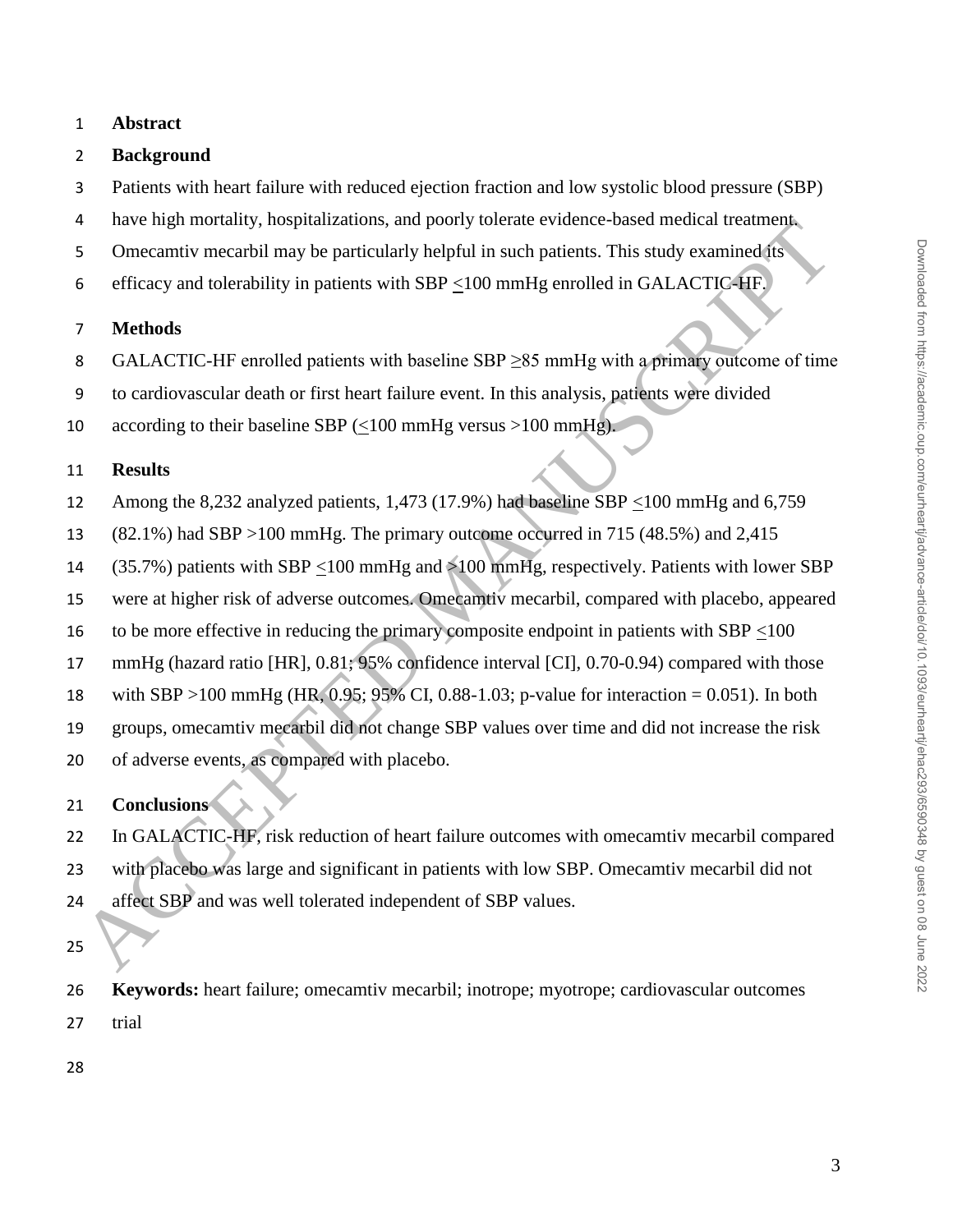## **Abstract**

## **Background**

- Patients with heart failure with reduced ejection fraction and low systolic blood pressure (SBP)
- have high mortality, hospitalizations, and poorly tolerate evidence-based medical treatment.
- Omecamtiv mecarbil may be particularly helpful in such patients. This study examined its
- efficacy and tolerability in patients with SBP <100 mmHg enrolled in GALACTIC-HF.

#### **Methods**

- 8 GALACTIC-HF enrolled patients with baseline SBP >85 mmHg with a primary outcome of time
- to cardiovascular death or first heart failure event. In this analysis, patients were divided

10 according to their baseline SBP  $(\leq 100 \text{ mmHg} \text{ versus } >100 \text{ mmHg}).$ 

### **Results**

- 12 Among the 8,232 analyzed patients, 1,473 (17.9%) had baseline SBP  $\leq$ 100 mmHg and 6,759
- (82.1%) had SBP >100 mmHg. The primary outcome occurred in 715 (48.5%) and 2,415
- (35.7%) patients with SBP <100 mmHg and >100 mmHg, respectively. Patients with lower SBP
- were at higher risk of adverse outcomes. Omecamtiv mecarbil, compared with placebo, appeared
- 16 to be more effective in reducing the primary composite endpoint in patients with SBP  $\leq$ 100
- mmHg (hazard ratio [HR], 0.81; 95% confidence interval [CI], 0.70-0.94) compared with those
- with SBP >100 mmHg (HR, 0.95; 95% CI, 0.88-1.03; p-value for interaction = 0.051). In both
- groups, omecamtiv mecarbil did not change SBP values over time and did not increase the risk
- of adverse events, as compared with placebo.

## **Conclusions**

- In GALACTIC-HF, risk reduction of heart failure outcomes with omecamtiv mecarbil compared with placebo was large and significant in patients with low SBP. Omecamtiv mecarbil did not 24 affect SBP and was well tolerated independent of SBP values. mave mgn moratury, nospuratations, and poorly sometic evidence-osses measure measures<br>
The Cometative methods<br>
Sometamic metabolity in patients with SBP  $\leq 100$  mmHg enrolled in GALACTIC-4HP<br> **ACCEPTED** and tolerability
- 
- **Keywords:** heart failure; omecamtiv mecarbil; inotrope; myotrope; cardiovascular outcomes trial
-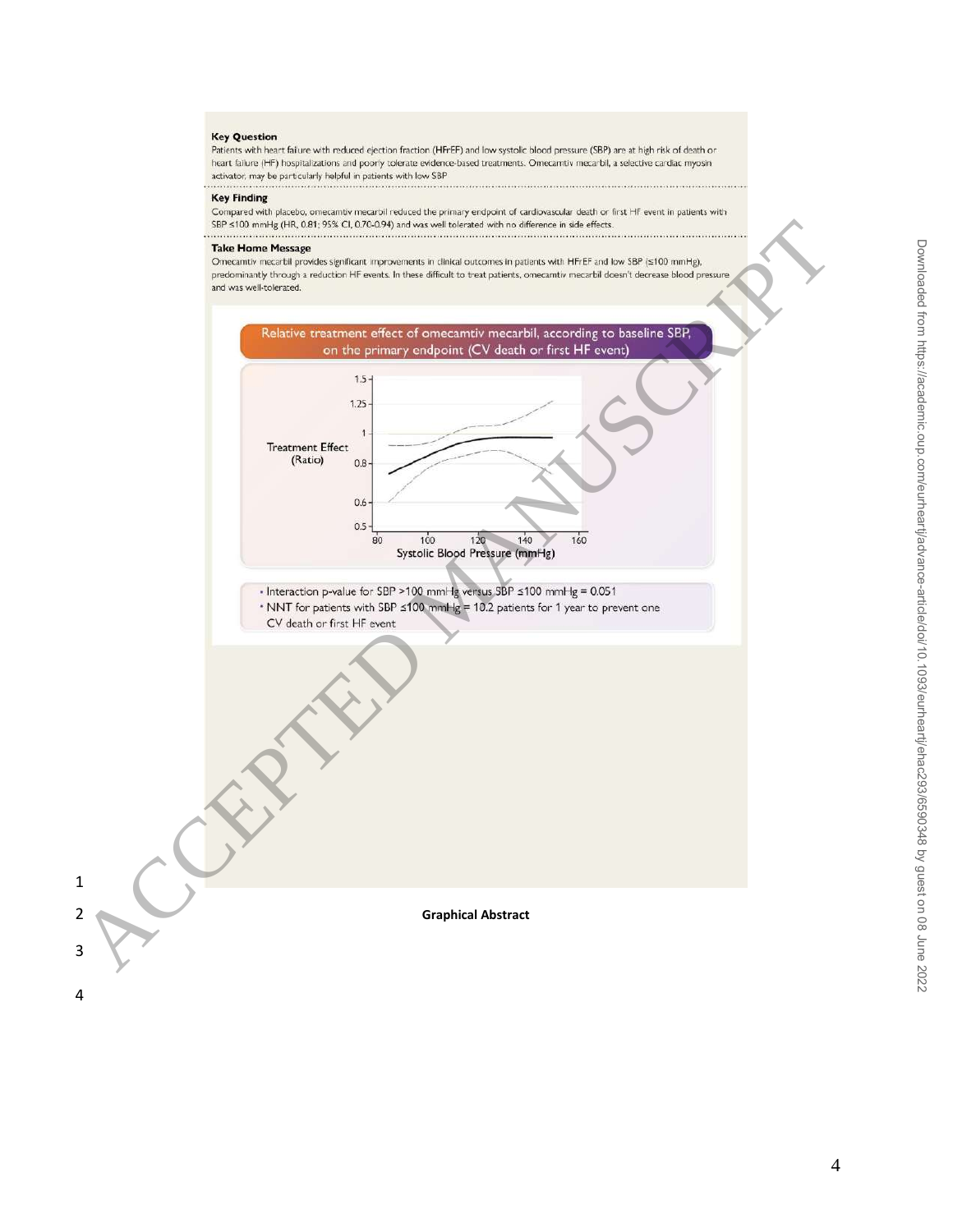#### **Key Question**

Patients with heart failure with reduced ejection fraction (HFrEF) and low systolic blood pressure (SBP) are at high risk of death or heart failure (HF) hospitalizations and poorly tolerate evidence-based treatments. Omecamtiv mecarbil, a selective cardiac myosin activator, may be particularly helpful in patients with low SBP 

#### **Key Finding**

Compared with placebo, omecamtiv mecarbil reduced the primary endpoint of cardiovascular death or first HF event in patients with

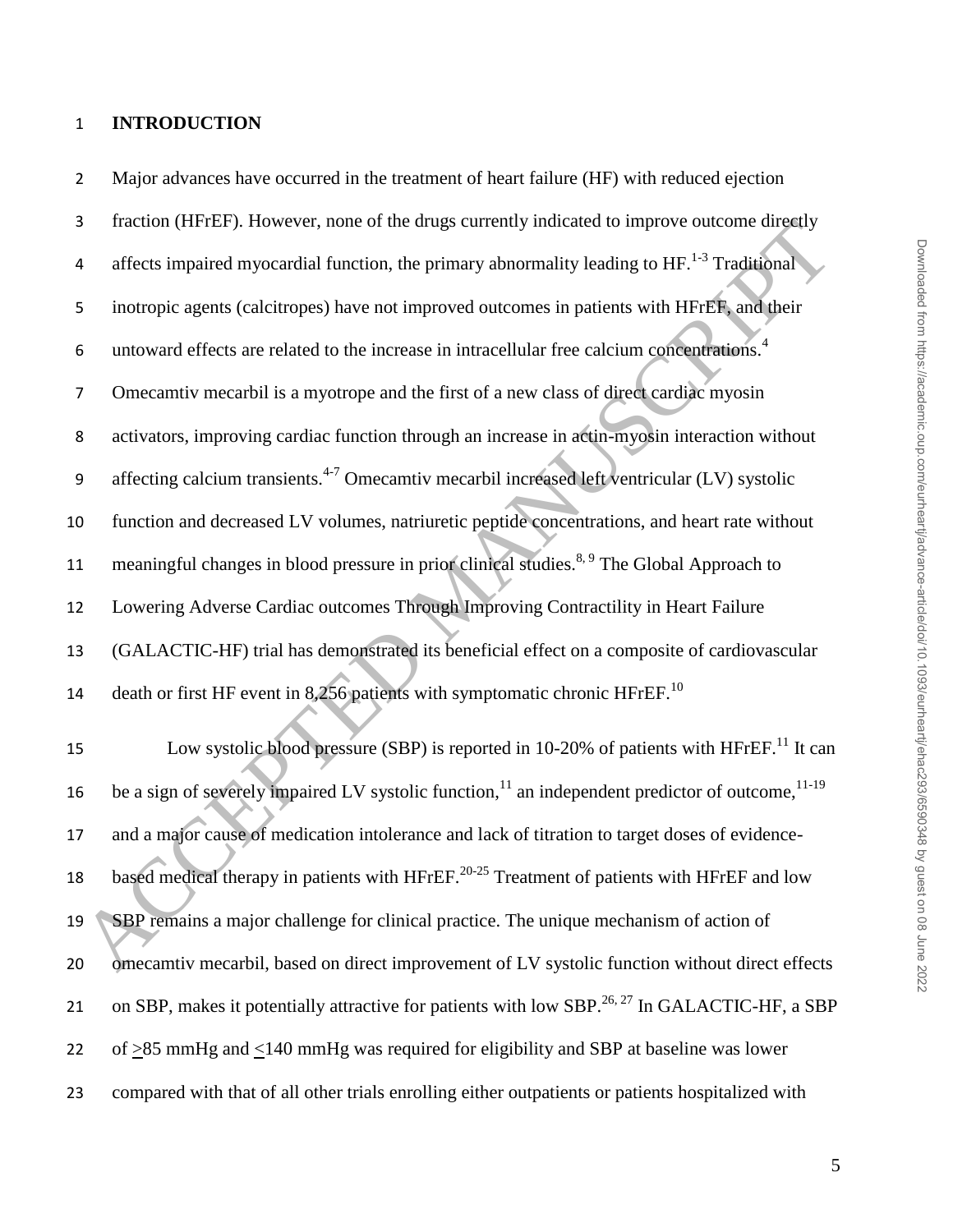## 1 **INTRODUCTION**

3 fraction (HFrEF). However, none of the drugs currently indicated to improve outcome directly 4 affects impaired myocardial function, the primary abnormality leading to  $HF<sup>1-3</sup>$  Traditional 5 inotropic agents (calcitropes) have not improved outcomes in patients with HFrEF, and their untoward effects are related to the increase in intracellular free calcium concentrations.<sup>4</sup> 6 7 Omecamtiv mecarbil is a myotrope and the first of a new class of direct cardiac myosin 8 activators, improving cardiac function through an increase in actin-myosin interaction without 9 affecting calcium transients.<sup>4-7</sup> Omecamtiv mecarbil increased left ventricular (LV) systolic 10 function and decreased LV volumes, natriuretic peptide concentrations, and heart rate without 11 meaningful changes in blood pressure in prior clinical studies.<sup>8, 9</sup> The Global Approach to 12 Lowering Adverse Cardiac outcomes Through Improving Contractility in Heart Failure 13 (GALACTIC-HF) trial has demonstrated its beneficial effect on a composite of cardiovascular 14 death or first HF event in 8,256 patients with symptomatic chronic HFrEF.<sup>10</sup> 15 Low systolic blood pressure (SBP) is reported in 10-20% of patients with HFrEF.<sup>11</sup> It can 16 be a sign of severely impaired LV systolic function,<sup>11</sup> an independent predictor of outcome,<sup>11-19</sup> 17 and a major cause of medication intolerance and lack of titration to target doses of evidence-18 based medical therapy in patients with HFrEF.<sup>20-25</sup> Treatment of patients with HFrEF and low 19 SBP remains a major challenge for clinical practice. The unique mechanism of action of 20 omecamtiv mecarbil, based on direct improvement of LV systolic function without direct effects 21 on SBP, makes it potentially attractive for patients with low SBP.<sup>26, 27</sup> In GALACTIC-HF, a SBP 22 of >85 mmHg and <140 mmHg was required for eligibility and SBP at baseline was lower 23 compared with that of all other trials enrolling either outpatients or patients hospitalized with Traction (HFFLF). However, none of the artigs currently indicated to improve outcome arrestly<br>
4 affects impaired myocardial function, the primary abnormality leading to HF-<sup>1.3</sup> Traditional<br>
5 interopic agents (calcitrop

2 Major advances have occurred in the treatment of heart failure (HF) with reduced ejection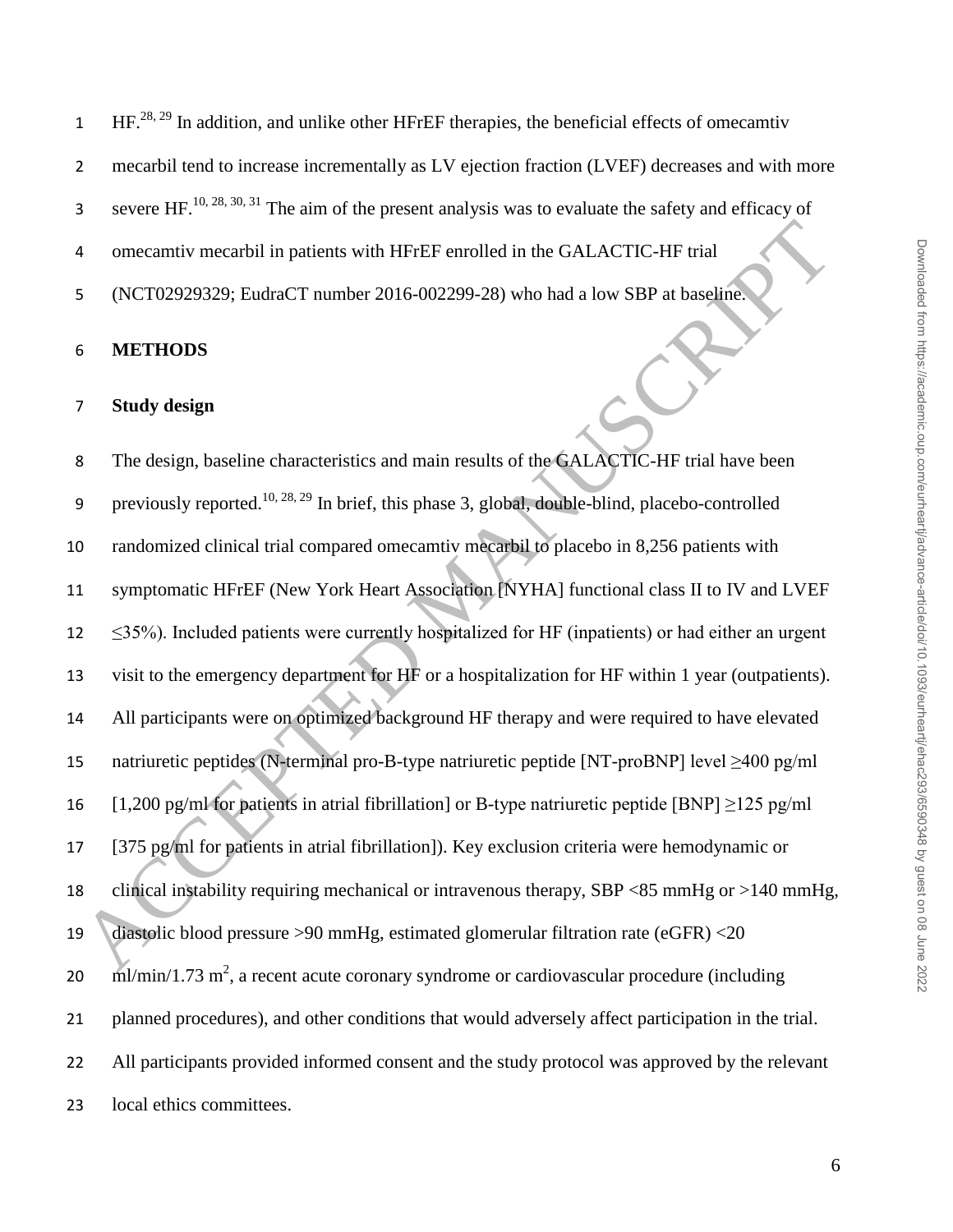mecarbil tend to increase incrementally as LV ejection fraction (LVEF) decreases and with more

severe HF.<sup>10, 28, 30, 31</sup> The aim of the present analysis was to evaluate the safety and efficacy of

omecamtiv mecarbil in patients with HFrEF enrolled in the GALACTIC-HF trial

(NCT02929329; EudraCT number 2016-002299-28) who had a low SBP at baseline.

#### **METHODS**

#### **Study design**

8 The design, baseline characteristics and main results of the GALACTIC-HF trial have been 9 previously reported.<sup>10, 28, 29</sup> In brief, this phase 3, global, double-blind, placebo-controlled randomized clinical trial compared omecamtiv mecarbil to placebo in 8,256 patients with symptomatic HFrEF (New York Heart Association [NYHA] functional class II to IV and LVEF ≤35%). Included patients were currently hospitalized for HF (inpatients) or had either an urgent visit to the emergency department for HF or a hospitalization for HF within 1 year (outpatients). All participants were on optimized background HF therapy and were required to have elevated natriuretic peptides (N-terminal pro-B-type natriuretic peptide [NT-proBNP] level ≥400 pg/ml 16 [1,200 pg/ml for patients in atrial fibrillation] or B-type natriuretic peptide [BNP]  $\geq$ 125 pg/ml [375 pg/ml for patients in atrial fibrillation]). Key exclusion criteria were hemodynamic or clinical instability requiring mechanical or intravenous therapy, SBP <85 mmHg or >140 mmHg, diastolic blood pressure >90 mmHg, estimated glomerular filtration rate (eGFR) <20  $20 \text{ ml/min}/1.73 \text{ m}^2$ , a recent acute coronary syndrome or cardiovascular procedure (including planned procedures), and other conditions that would adversely affect participation in the trial. All participants provided informed consent and the study protocol was approved by the relevant local ethics committees. 4 omecamtiv meetrid in patients with HFrEF enrolled in the GALACTIC-HF trial<br>
5 (NCT02929329; EudraCT number 2016-002299-28) who had a low SBP at baseline.<br>
5 **METHODS**<br>
8 **METHODS**<br>
7 **Study design**<br>
7 **Example Manuscrip**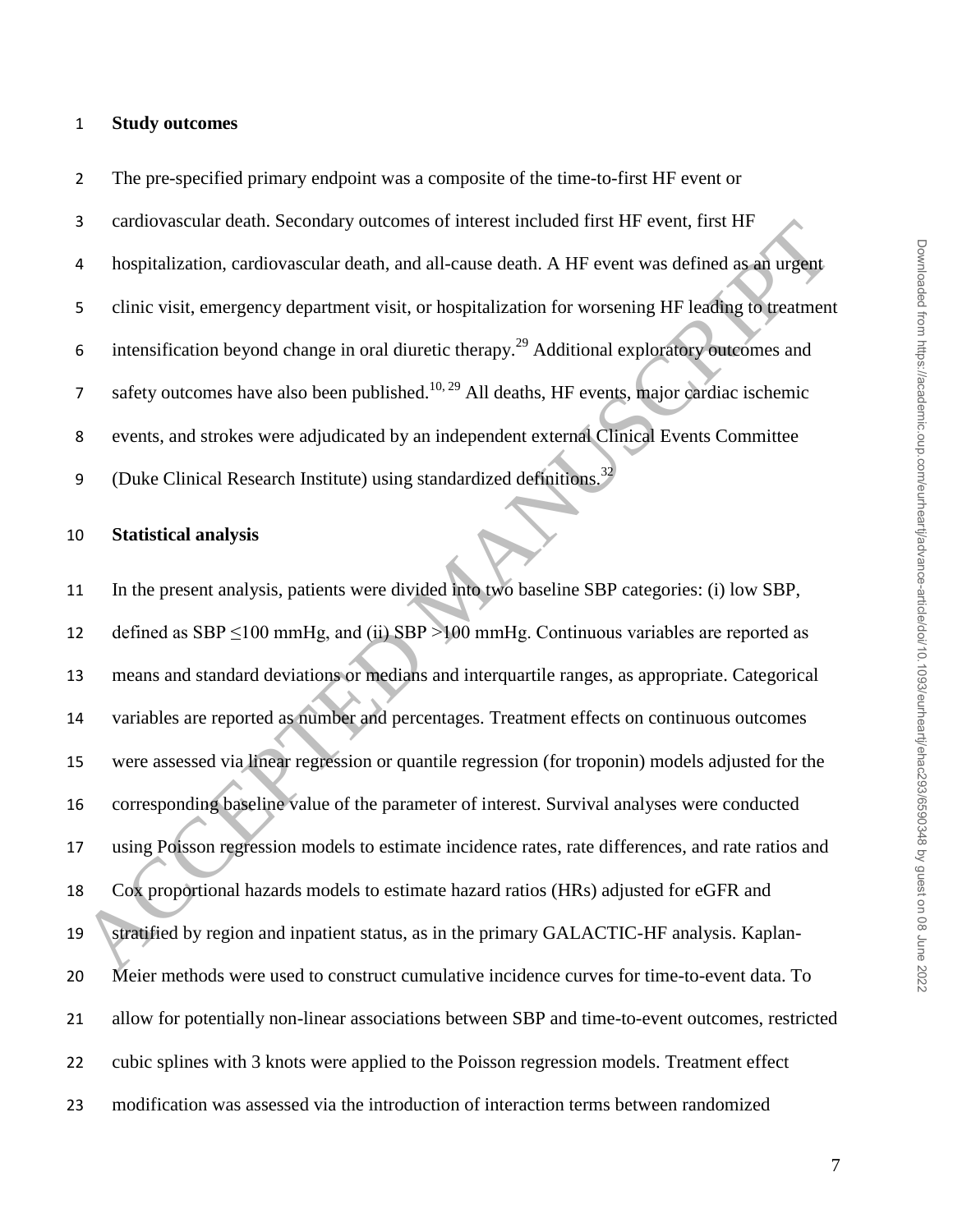## **Study outcomes**

 The pre-specified primary endpoint was a composite of the time-to-first HF event or cardiovascular death. Secondary outcomes of interest included first HF event, first HF hospitalization, cardiovascular death, and all-cause death. A HF event was defined as an urgent clinic visit, emergency department visit, or hospitalization for worsening HF leading to treatment 6 intensification beyond change in oral diuretic therapy.<sup>29</sup> Additional exploratory outcomes and  $\sigma$  safety outcomes have also been published.<sup>10, 29</sup> All deaths, HF events, major cardiac ischemic events, and strokes were adjudicated by an independent external Clinical Events Committee 9 (Duke Clinical Research Institute) using standardized definitions.<sup>32</sup>

## **Statistical analysis**

 In the present analysis, patients were divided into two baseline SBP categories: (i) low SBP, 12 defined as  $SBP \le 100$  mmHg, and (ii)  $SBP > 100$  mmHg. Continuous variables are reported as means and standard deviations or medians and interquartile ranges, as appropriate. Categorical variables are reported as number and percentages. Treatment effects on continuous outcomes were assessed via linear regression or quantile regression (for troponin) models adjusted for the corresponding baseline value of the parameter of interest. Survival analyses were conducted using Poisson regression models to estimate incidence rates, rate differences, and rate ratios and Cox proportional hazards models to estimate hazard ratios (HRs) adjusted for eGFR and stratified by region and inpatient status, as in the primary GALACTIC-HF analysis. Kaplan- Meier methods were used to construct cumulative incidence curves for time-to-event data. To allow for potentially non-linear associations between SBP and time-to-event outcomes, restricted cubic splines with 3 knots were applied to the Poisson regression models. Treatment effect modification was assessed via the introduction of interaction terms between randomized Examples are reported as manifest methods of the state of the set of the set of the set of the set of the set of the set of the set of the set of the set of the set of the set of the set of the set of the set of the set o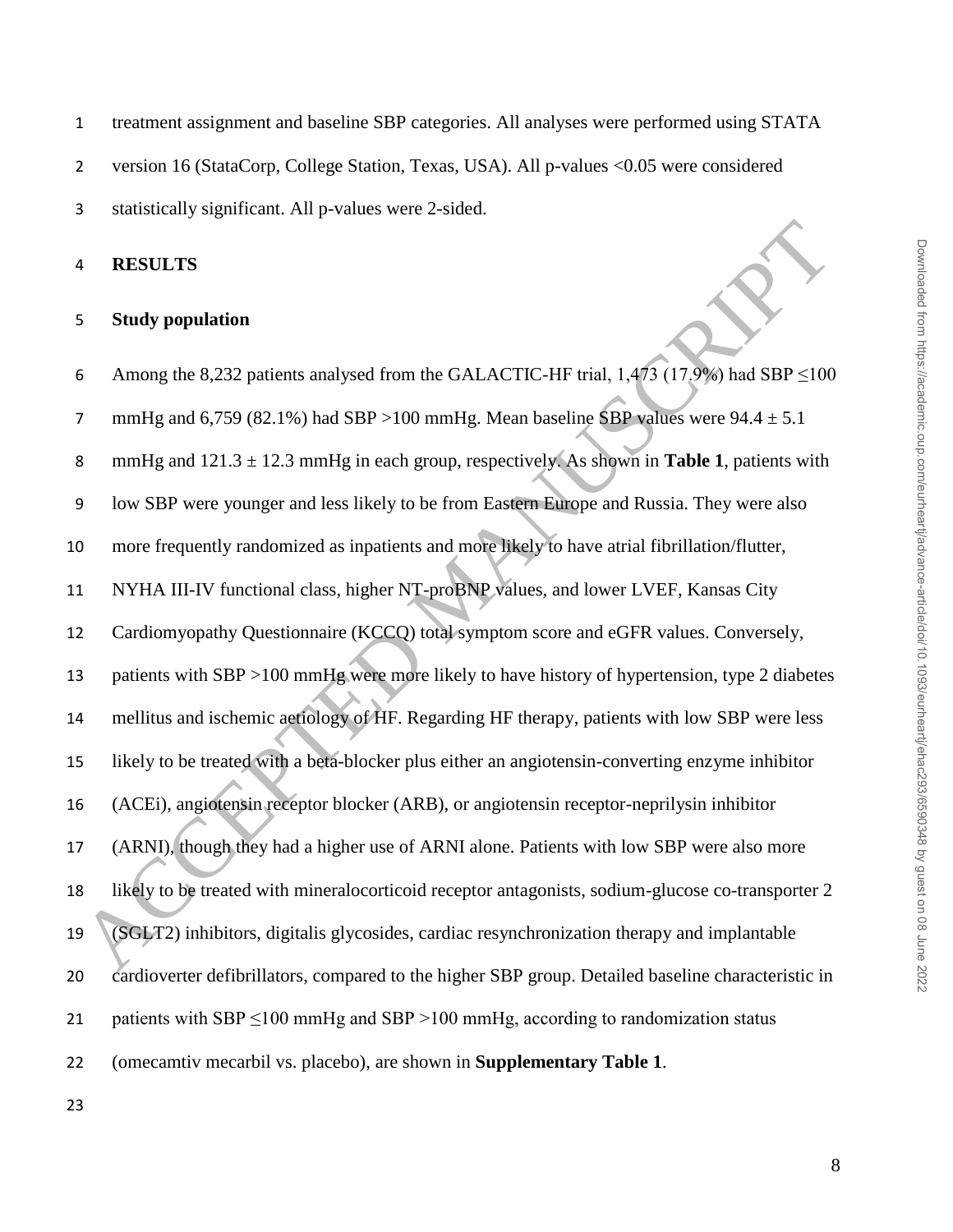version 16 (StataCorp, College Station, Texas, USA). All p-values <0.05 were considered

statistically significant. All p-values were 2-sided.

**RESULTS**

## **Study population**

6 Among the 8,232 patients analysed from the GALACTIC-HF trial,  $1,473$  (17.9%) had SBP ≤100 7 mmHg and 6,759 (82.1%) had SBP >100 mmHg. Mean baseline SBP values were  $94.4 \pm 5.1$  mmHg and 121.3 ± 12.3 mmHg in each group, respectively. As shown in **Table 1**, patients with low SBP were younger and less likely to be from Eastern Europe and Russia. They were also more frequently randomized as inpatients and more likely to have atrial fibrillation/flutter, NYHA III-IV functional class, higher NT-proBNP values, and lower LVEF, Kansas City Cardiomyopathy Questionnaire (KCCQ) total symptom score and eGFR values. Conversely, patients with SBP >100 mmHg were more likely to have history of hypertension, type 2 diabetes mellitus and ischemic aetiology of HF. Regarding HF therapy, patients with low SBP were less likely to be treated with a beta-blocker plus either an angiotensin-converting enzyme inhibitor (ACEi), angiotensin receptor blocker (ARB), or angiotensin receptor-neprilysin inhibitor (ARNI), though they had a higher use of ARNI alone. Patients with low SBP were also more likely to be treated with mineralocorticoid receptor antagonists, sodium-glucose co-transporter 2 (SGLT2) inhibitors, digitalis glycosides, cardiac resynchronization therapy and implantable cardioverter defibrillators, compared to the higher SBP group. Detailed baseline characteristic in 21 patients with SBP  $\leq$ 100 mmHg and SBP  $>$ 100 mmHg, according to randomization status (omecamtiv mecarbil vs. placebo), are shown in **Supplementary Table 1**. **EXECUTE:**<br> **ACCEPTE MANUSCRIPT STEAD**<br> **ACCEPTE THE CONTINUES AND ACCEPT STEAD**<br> **ACCEPTE THE CONTINUES AND MANUSCRIPT STEAD MANUSCRIPT STEAD MANUSCRIPT STEAD MANUSCRIPT STEAD MANUSCRIPT STEAD AND MANUSCRIPT STEAD MANUSC**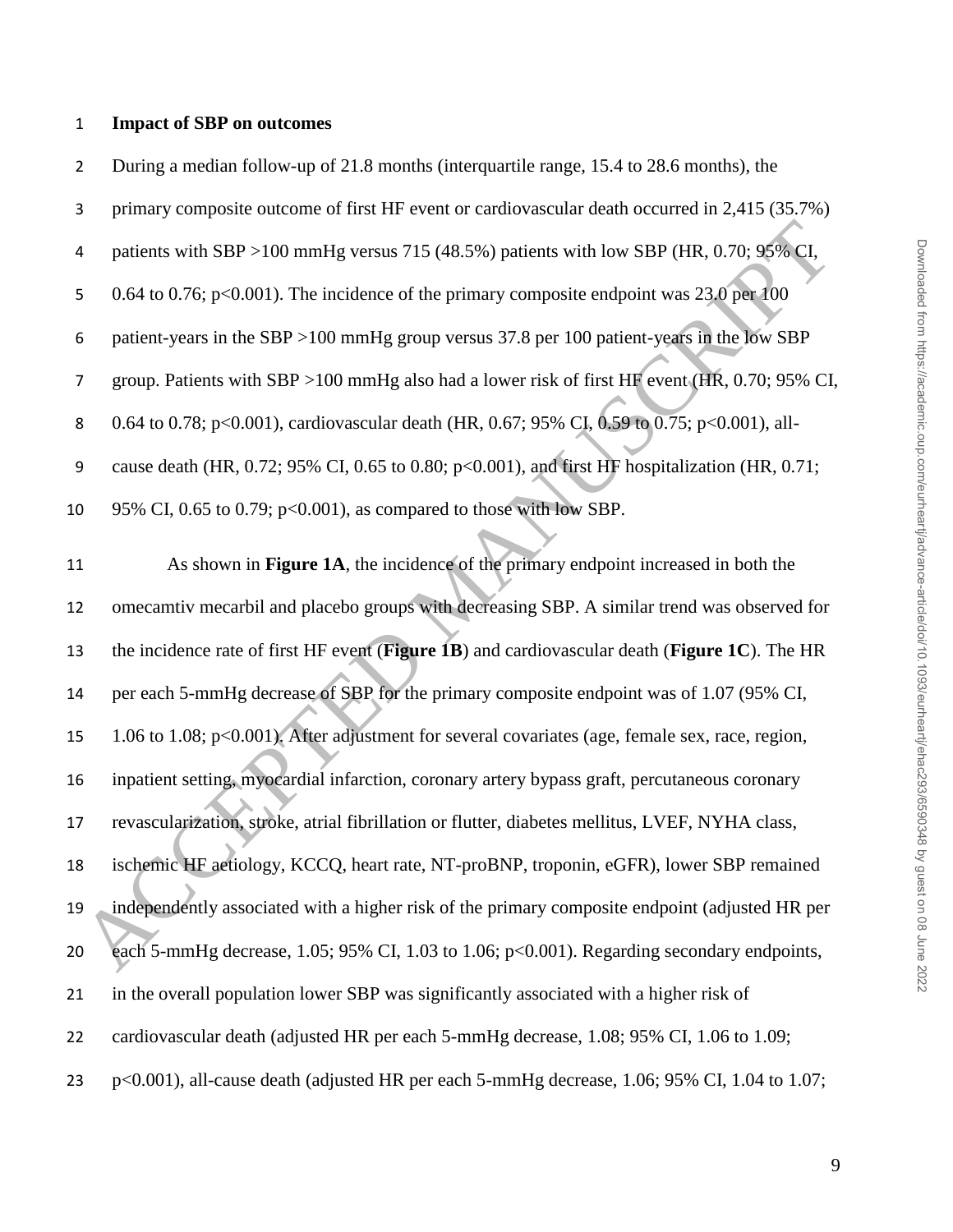#### **Impact of SBP on outcomes**

 During a median follow-up of 21.8 months (interquartile range, 15.4 to 28.6 months), the primary composite outcome of first HF event or cardiovascular death occurred in 2,415 (35.7%) patients with SBP >100 mmHg versus 715 (48.5%) patients with low SBP (HR, 0.70; 95% CI, 5 0.64 to 0.76; p<0.001). The incidence of the primary composite endpoint was 23.0 per 100 patient-years in the SBP >100 mmHg group versus 37.8 per 100 patient-years in the low SBP group. Patients with SBP >100 mmHg also had a lower risk of first HF event (HR, 0.70; 95% CI, 8 0.64 to 0.78; p<0.001), cardiovascular death (HR, 0.67; 95% CI, 0.59 to 0.75; p<0.001), all- cause death (HR, 0.72; 95% CI, 0.65 to 0.80; p<0.001), and first HF hospitalization (HR, 0.71; 95% CI, 0.65 to 0.79; p<0.001), as compared to those with low SBP. As shown in **Figure 1A**, the incidence of the primary endpoint increased in both the omecamtiv mecarbil and placebo groups with decreasing SBP. A similar trend was observed for the incidence rate of first HF event (**Figure 1B**) and cardiovascular death (**Figure 1C**). The HR 4 patients with SBP >100 mmHg versus 715 (48.5%) patients with low SBP (HR, 0.70; 99% CI,<br>
5 0.64 to 0.76; p<0.001). The incidence of the primary composite endpoint was 23.0 per 0.0<br>
6 patient-years in the SBP >100 mmHg g

 per each 5-mmHg decrease of SBP for the primary composite endpoint was of 1.07 (95% CI, 1.06 to 1.08; p<0.001). After adjustment for several covariates (age, female sex, race, region, inpatient setting, myocardial infarction, coronary artery bypass graft, percutaneous coronary revascularization, stroke, atrial fibrillation or flutter, diabetes mellitus, LVEF, NYHA class, ischemic HF aetiology, KCCQ, heart rate, NT-proBNP, troponin, eGFR), lower SBP remained independently associated with a higher risk of the primary composite endpoint (adjusted HR per each 5-mmHg decrease, 1.05; 95% CI, 1.03 to 1.06; p<0.001). Regarding secondary endpoints, in the overall population lower SBP was significantly associated with a higher risk of cardiovascular death (adjusted HR per each 5-mmHg decrease, 1.08; 95% CI, 1.06 to 1.09;

p<0.001), all-cause death (adjusted HR per each 5-mmHg decrease, 1.06; 95% CI, 1.04 to 1.07;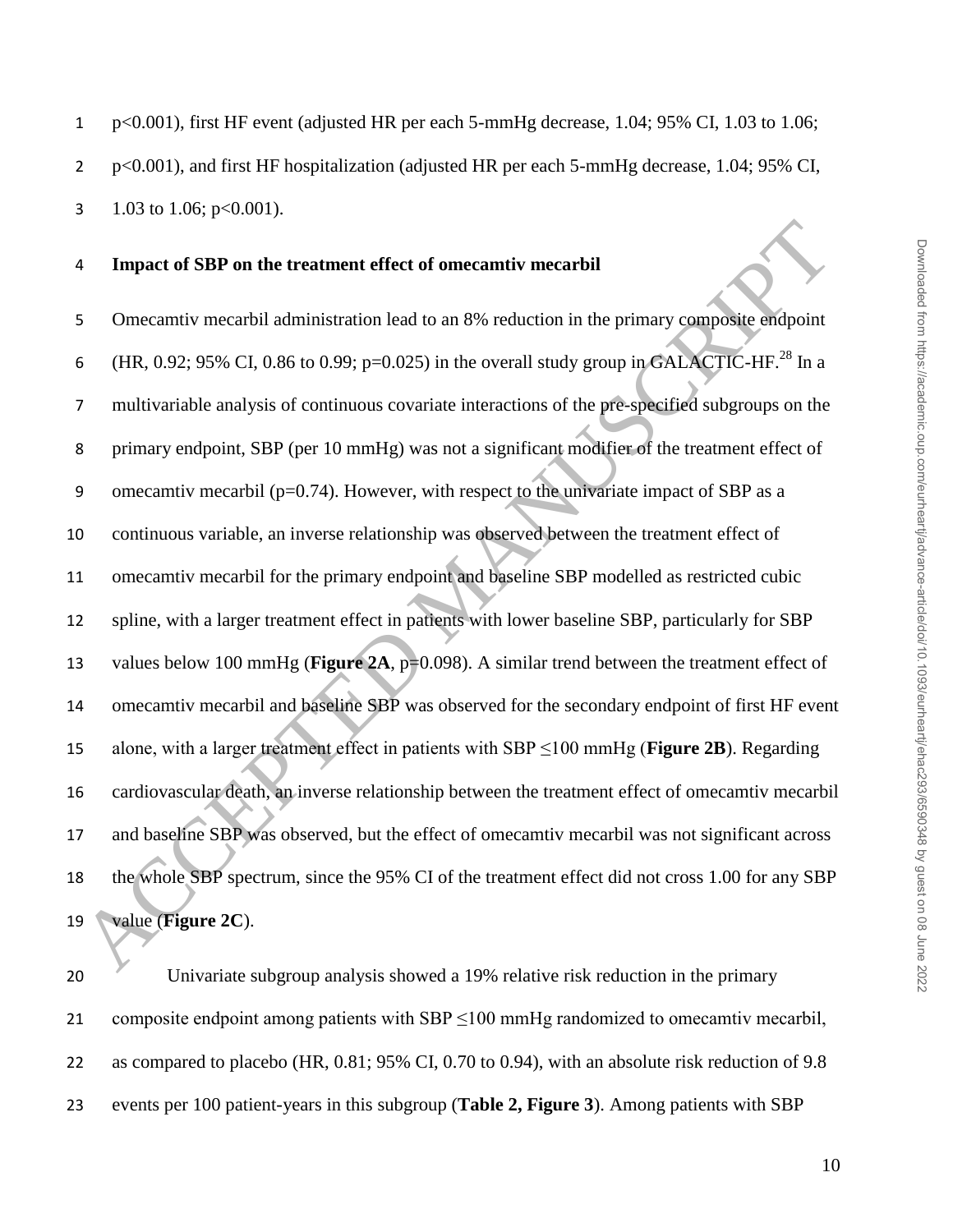#### **Impact of SBP on the treatment effect of omecamtiv mecarbil**

 Omecamtiv mecarbil administration lead to an 8% reduction in the primary composite endpoint 6 (HR, 0.92; 95% CI, 0.86 to 0.99; p=0.025) in the overall study group in GALACTIC-HF.<sup>28</sup> In a multivariable analysis of continuous covariate interactions of the pre-specified subgroups on the primary endpoint, SBP (per 10 mmHg) was not a significant modifier of the treatment effect of 9 omecamtiv mecarbil ( $p=0.74$ ). However, with respect to the univariate impact of SBP as a continuous variable, an inverse relationship was observed between the treatment effect of omecamtiv mecarbil for the primary endpoint and baseline SBP modelled as restricted cubic spline, with a larger treatment effect in patients with lower baseline SBP, particularly for SBP 13 values below 100 mmHg (**Figure 2A**, p=0.098). A similar trend between the treatment effect of omecamtiv mecarbil and baseline SBP was observed for the secondary endpoint of first HF event alone, with a larger treatment effect in patients with SBP ≤100 mmHg (**Figure 2B**). Regarding cardiovascular death, an inverse relationship between the treatment effect of omecamtiv mecarbil and baseline SBP was observed, but the effect of omecamtiv mecarbil was not significant across the whole SBP spectrum, since the 95% CI of the treatment effect did not cross 1.00 for any SBP value (**Figure 2C**). Impact of SBP on the treatment effect of omecanntiv mecannitiv<br>
Sometantiv mecannitiv mecannitiv mecannitiv mecannitiv<br>
Sometantiv mecannitiv mecannitiv mecannitiv mecannitiv mecannitiv mecannic<br>
FIR, 0.92; 95% CI, 0.86 t

 Univariate subgroup analysis showed a 19% relative risk reduction in the primary 21 composite endpoint among patients with  $SBP \le 100$  mmHg randomized to omecamtiv mecarbil, as compared to placebo (HR, 0.81; 95% CI, 0.70 to 0.94), with an absolute risk reduction of 9.8 events per 100 patient-years in this subgroup (**Table 2, Figure 3**). Among patients with SBP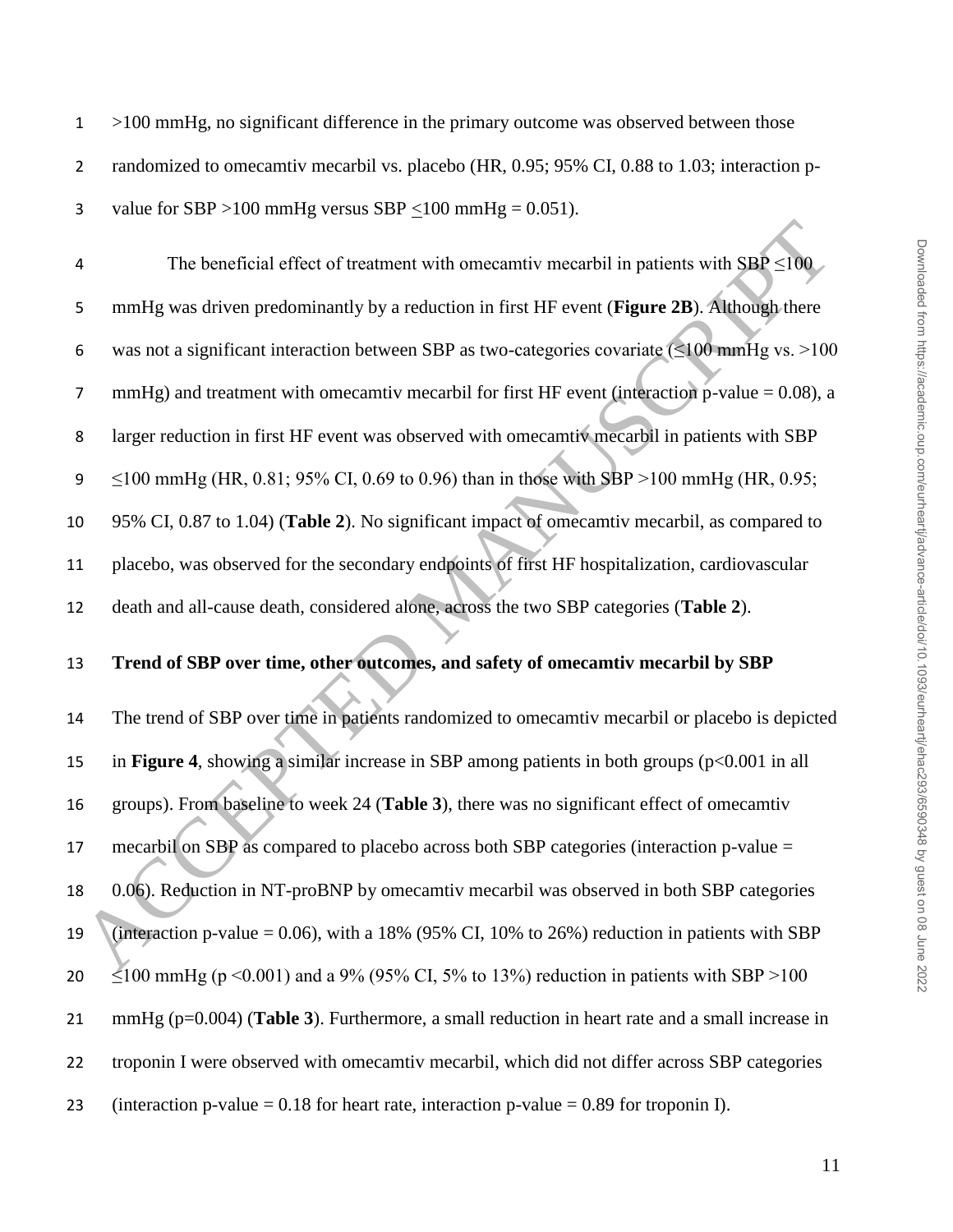- $1 \rightarrow 100$  mmHg, no significant difference in the primary outcome was observed between those
- 2 randomized to omecamtiv mecarbil vs. placebo (HR, 0.95; 95% CI, 0.88 to 1.03; interaction p-
- 3 value for SBP >100 mmHg versus SBP <100 mmHg =  $0.051$ ).

4 The beneficial effect of treatment with omecamtiv mecarbil in patients with  $SBP \le 100$ 5 mmHg was driven predominantly by a reduction in first HF event (**Figure 2B**). Although there 6 was not a significant interaction between SBP as two-categories covariate  $(\leq 100 \text{ mmHg vs.} > 100$ 7 mmHg) and treatment with omecamtiv mecarbil for first HF event (interaction p-value  $= 0.08$ ), a 8 larger reduction in first HF event was observed with omecamtiv mecarbil in patients with SBP 9  $\leq$  100 mmHg (HR, 0.81; 95% CI, 0.69 to 0.96) than in those with SBP >100 mmHg (HR, 0.95; 10 95% CI, 0.87 to 1.04) (**Table 2**). No significant impact of omecamtiv mecarbil, as compared to 11 placebo, was observed for the secondary endpoints of first HF hospitalization, cardiovascular 12 death and all-cause death, considered alone, across the two SBP categories (**Table 2**). The beneficial effect of treatment with omecamity mecarbil in patients with SBP  $\leq 100$ <br>
smunHg was driven predominantly by a reduction in first HF event (Figure 2B). Although there<br>
swa not a significant interaction be

## 13 **Trend of SBP over time, other outcomes, and safety of omecamtiv mecarbil by SBP**

 The trend of SBP over time in patients randomized to omecamtiv mecarbil or placebo is depicted in **Figure 4**, showing a similar increase in SBP among patients in both groups (p<0.001 in all groups). From baseline to week 24 (**Table 3**), there was no significant effect of omecamtiv mecarbil on SBP as compared to placebo across both SBP categories (interaction p-value = 0.06). Reduction in NT-proBNP by omecamtiv mecarbil was observed in both SBP categories 19 (interaction p-value =  $0.06$ ), with a 18% (95% CI, 10% to 26%) reduction in patients with SBP  $\leq$  100 mmHg (p < 0.001) and a 9% (95% CI, 5% to 13%) reduction in patients with SBP >100 mmHg (p=0.004) (**Table 3**). Furthermore, a small reduction in heart rate and a small increase in troponin I were observed with omecamtiv mecarbil, which did not differ across SBP categories 23 (interaction p-value  $= 0.18$  for heart rate, interaction p-value  $= 0.89$  for troponin I).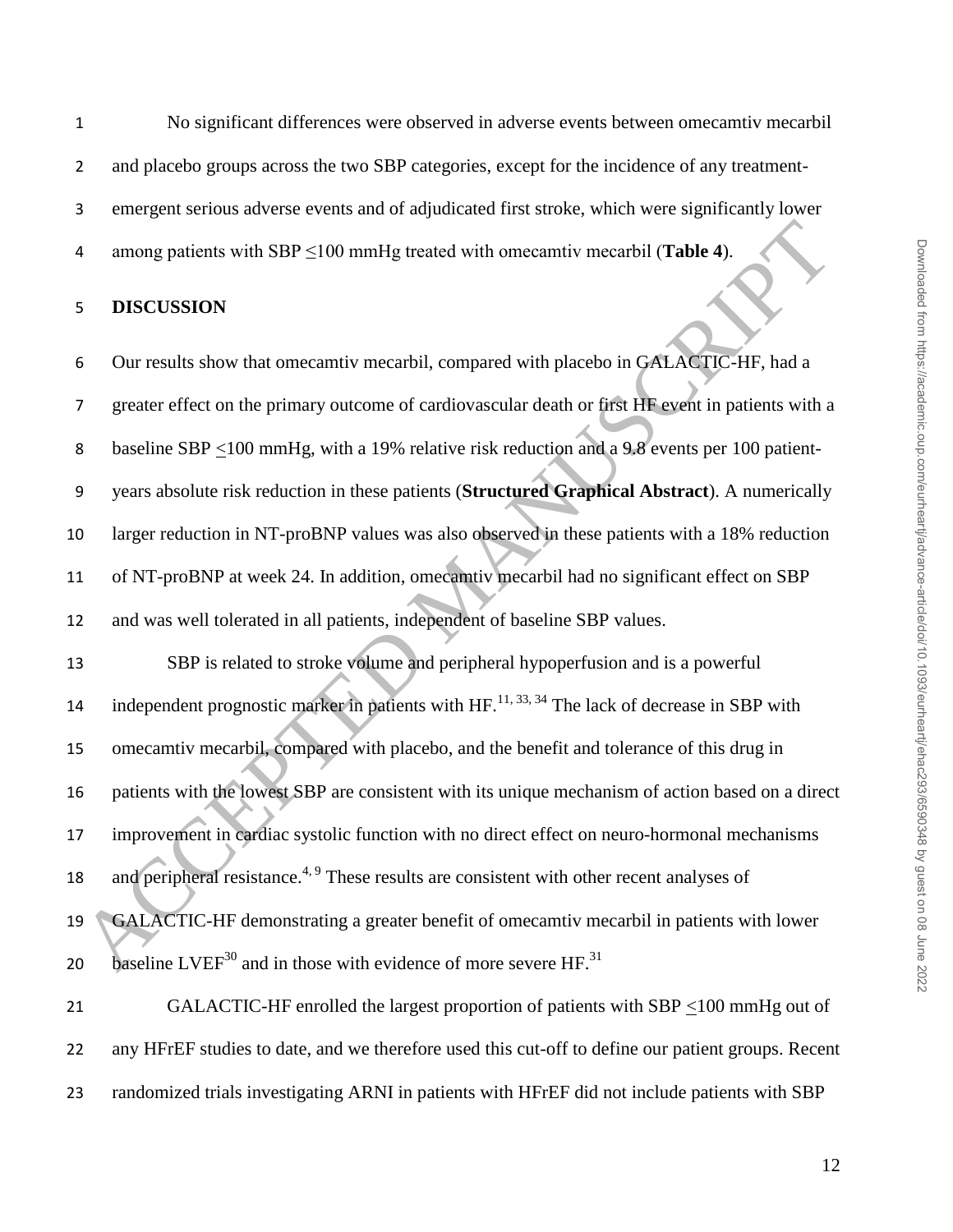No significant differences were observed in adverse events between omecamtiv mecarbil 2 and placebo groups across the two SBP categories, except for the incidence of any treatment- emergent serious adverse events and of adjudicated first stroke, which were significantly lower among patients with SBP ≤100 mmHg treated with omecamtiv mecarbil (**Table 4**).

## **DISCUSSION**

 Our results show that omecamtiv mecarbil, compared with placebo in GALACTIC-HF, had a greater effect on the primary outcome of cardiovascular death or first HF event in patients with a 8 baseline SBP <100 mmHg, with a 19% relative risk reduction and a 9.8 events per 100 patient- years absolute risk reduction in these patients (**Structured Graphical Abstract**). A numerically larger reduction in NT-proBNP values was also observed in these patients with a 18% reduction of NT-proBNP at week 24. In addition, omecamtiv mecarbil had no significant effect on SBP and was well tolerated in all patients, independent of baseline SBP values.

 SBP is related to stroke volume and peripheral hypoperfusion and is a powerful 14 independent prognostic marker in patients with  $HF$ .<sup>11, 33, 34</sup> The lack of decrease in SBP with omecamtiv mecarbil, compared with placebo, and the benefit and tolerance of this drug in patients with the lowest SBP are consistent with its unique mechanism of action based on a direct improvement in cardiac systolic function with no direct effect on neuro-hormonal mechanisms 18 and peripheral resistance.<sup>4, 9</sup> These results are consistent with other recent analyses of GALACTIC-HF demonstrating a greater benefit of omecamtiv mecarbil in patients with lower 20 baseline  $LVEF<sup>30</sup>$  and in those with evidence of more severe HF.<sup>31</sup> 21 GALACTIC-HF enrolled the largest proportion of patients with  $SBP \le 100$  mmHg out of 4 among patients with SBP  $\leq 100$  mmHg treated with oneceantiv mecarbil (Table 4).<br>
5 DISCUSSION<br>
5 Our results show that oneceantiv mecarbil, compared with placebo in GALACTIC-HF, had a<br>
7 greater effect on the primary

randomized trials investigating ARNI in patients with HFrEF did not include patients with SBP

any HFrEF studies to date, and we therefore used this cut-off to define our patient groups. Recent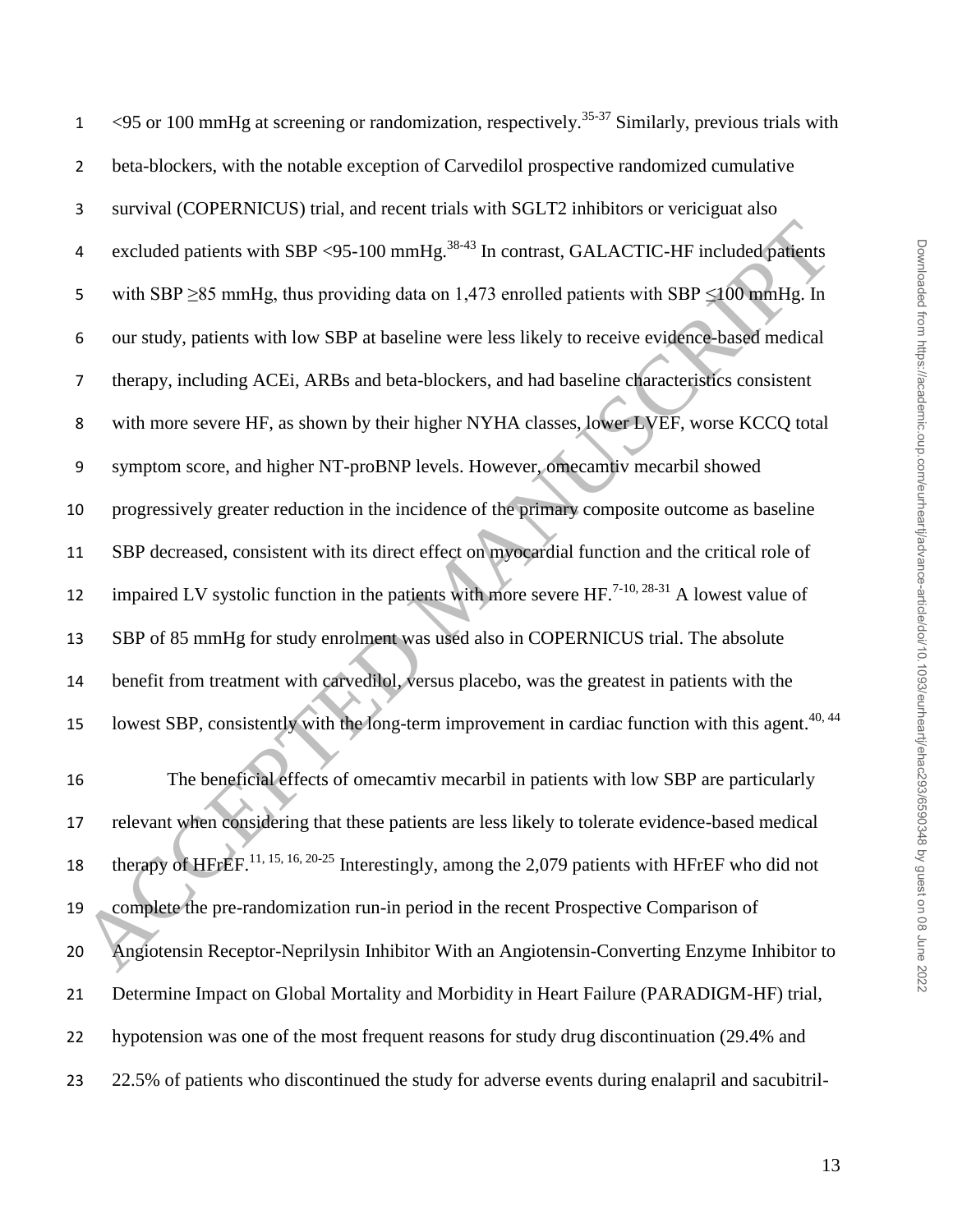| $\mathbf{1}$     | <95 or 100 mmHg at screening or randomization, respectively. <sup>35-37</sup> Similarly, previous trials with  |
|------------------|----------------------------------------------------------------------------------------------------------------|
| $\overline{2}$   | beta-blockers, with the notable exception of Carvedilol prospective randomized cumulative                      |
| 3                | survival (COPERNICUS) trial, and recent trials with SGLT2 inhibitors or vericiguat also                        |
| 4                | excluded patients with SBP <95-100 mmHg. <sup>38-43</sup> In contrast, GALACTIC-HF included patients           |
| 5                | with SBP $\geq$ 85 mmHg, thus providing data on 1,473 enrolled patients with SBP $\leq$ 100 mmHg. In           |
| 6                | our study, patients with low SBP at baseline were less likely to receive evidence-based medical                |
| 7                | therapy, including ACEi, ARBs and beta-blockers, and had baseline characteristics consistent                   |
| 8                | with more severe HF, as shown by their higher NYHA classes, lower LVEF, worse KCCQ total                       |
| $\boldsymbol{9}$ | symptom score, and higher NT-proBNP levels. However, omecamtiv mecarbil showed                                 |
| 10               | progressively greater reduction in the incidence of the primary composite outcome as baseline                  |
| 11               | SBP decreased, consistent with its direct effect on myocardial function and the critical role of               |
| 12               | impaired LV systolic function in the patients with more severe $HF^{7-10, 28-31}$ . A lowest value of          |
| 13               | SBP of 85 mmHg for study enrolment was used also in COPERNICUS trial. The absolute                             |
| 14               | benefit from treatment with carvedilol, versus placebo, was the greatest in patients with the                  |
| 15               | lowest SBP, consistently with the long-term improvement in cardiac function with this agent. <sup>40, 44</sup> |
| 16               | The beneficial effects of omecamtiv mecarbil in patients with low SBP are particularly                         |
| 17               | relevant when considering that these patients are less likely to tolerate evidence-based medical               |
| 18               | therapy of HFrEF. <sup>11, 15, 16, 20-25</sup> Interestingly, among the 2,079 patients with HFrEF who did not  |
| 19               | complete the pre-randomization run-in period in the recent Prospective Comparison of                           |
| 20               | Angiotensin Receptor-Neprilysin Inhibitor With an Angiotensin-Converting Enzyme Inhibitor to                   |
| 21               | Determine Impact on Global Mortality and Morbidity in Heart Failure (PARADIGM-HF) trial,                       |
| 22               | hypotension was one of the most frequent reasons for study drug discontinuation (29.4% and                     |
| 23               | 22.5% of patients who discontinued the study for adverse events during enalapril and sacubitril-               |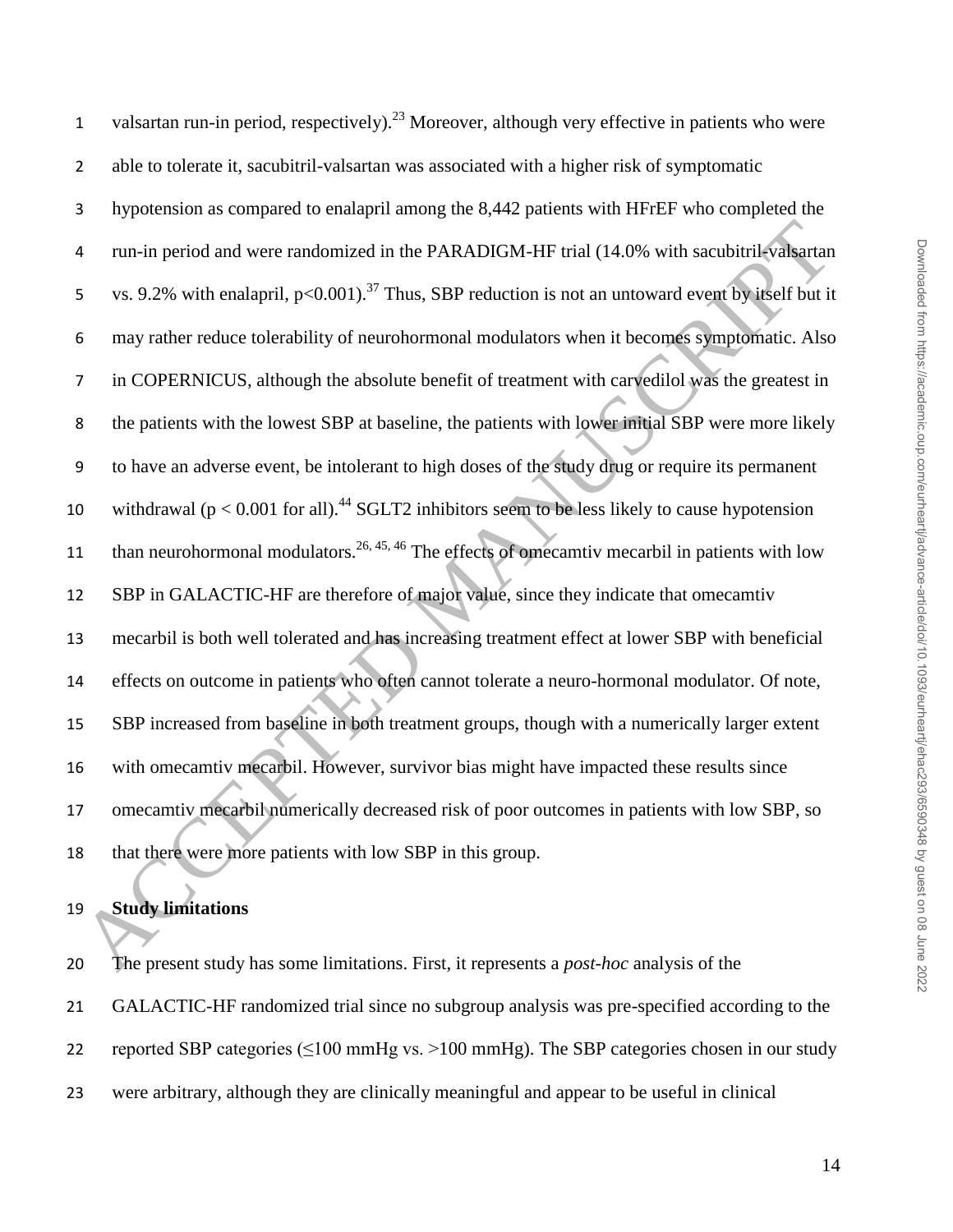| $\mathbf{1}$   | valsartan run-in period, respectively). <sup>23</sup> Moreover, although very effective in patients who were     |
|----------------|------------------------------------------------------------------------------------------------------------------|
| $\overline{2}$ | able to tolerate it, sacubitril-valsartan was associated with a higher risk of symptomatic                       |
| 3              | hypotension as compared to enalapril among the 8,442 patients with HFrEF who completed the                       |
| 4              | run-in period and were randomized in the PARADIGM-HF trial (14.0% with sacubitril-valsartan                      |
| 5              | vs. 9.2% with enalapril, $p<0.001$ . <sup>37</sup> Thus, SBP reduction is not an untoward event by itself but it |
| 6              | may rather reduce tolerability of neurohormonal modulators when it becomes symptomatic. Also                     |
| $\overline{7}$ | in COPERNICUS, although the absolute benefit of treatment with carvedilol was the greatest in                    |
| 8              | the patients with the lowest SBP at baseline, the patients with lower initial SBP were more likely               |
| 9              | to have an adverse event, be intolerant to high doses of the study drug or require its permanent                 |
| 10             | withdrawal ( $p < 0.001$ for all). <sup>44</sup> SGLT2 inhibitors seem to be less likely to cause hypotension    |
| 11             | than neurohormonal modulators. <sup>26, 45, 46</sup> The effects of omecamtiv mecarbil in patients with low      |
| 12             | SBP in GALACTIC-HF are therefore of major value, since they indicate that omecamtiv                              |
| 13             | mecarbil is both well tolerated and has increasing treatment effect at lower SBP with beneficial                 |
| 14             | effects on outcome in patients who often cannot tolerate a neuro-hormonal modulator. Of note,                    |
| 15             | SBP increased from baseline in both treatment groups, though with a numerically larger extent                    |
| 16             | with omecamtiv mecarbil. However, survivor bias might have impacted these results since                          |
| 17             | omecamtiv mecarbil numerically decreased risk of poor outcomes in patients with low SBP, so                      |
| 18             | that there were more patients with low SBP in this group.                                                        |
| 19             | <b>Study limitations</b>                                                                                         |
|                |                                                                                                                  |
| 20             | The present study has some limitations. First, it represents a <i>post-hoc</i> analysis of the                   |

## **Study limitations**

 The present study has some limitations. First, it represents a *post-hoc* analysis of the GALACTIC-HF randomized trial since no subgroup analysis was pre-specified according to the reported SBP categories (≤100 mmHg vs. >100 mmHg). The SBP categories chosen in our study were arbitrary, although they are clinically meaningful and appear to be useful in clinical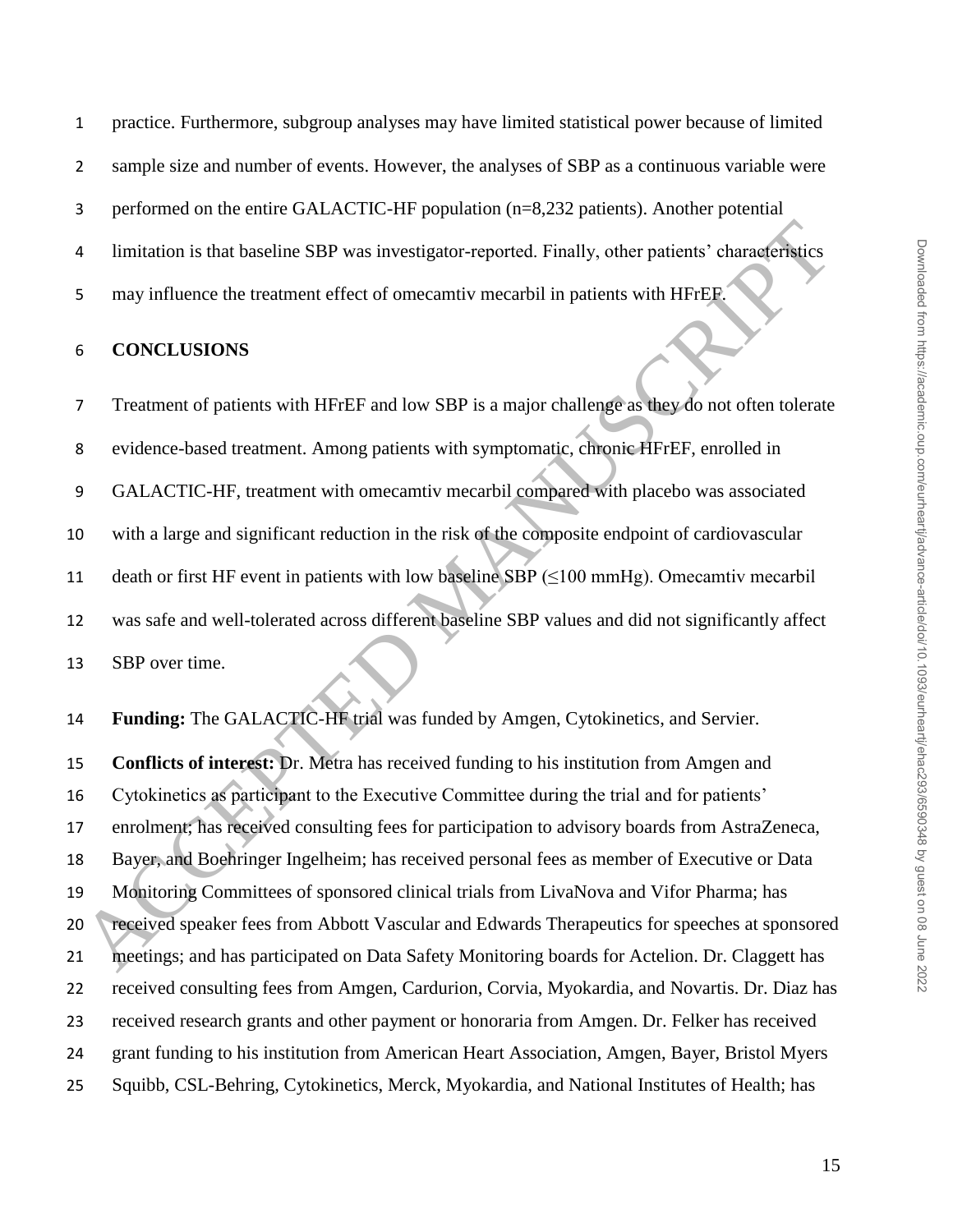practice. Furthermore, subgroup analyses may have limited statistical power because of limited sample size and number of events. However, the analyses of SBP as a continuous variable were performed on the entire GALACTIC-HF population (n=8,232 patients). Another potential limitation is that baseline SBP was investigator-reported. Finally, other patients' characteristics may influence the treatment effect of omecamtiv mecarbil in patients with HFrEF.

## **CONCLUSIONS**

 Treatment of patients with HFrEF and low SBP is a major challenge as they do not often tolerate evidence-based treatment. Among patients with symptomatic, chronic HFrEF, enrolled in GALACTIC-HF, treatment with omecamtiv mecarbil compared with placebo was associated with a large and significant reduction in the risk of the composite endpoint of cardiovascular 11 death or first HF event in patients with low baseline SBP  $(\leq 100 \text{ mmHg})$ . Omecamtiv mecarbil was safe and well-tolerated across different baseline SBP values and did not significantly affect SBP over time. 1<br>
11 Imitation is that baseline SBP was investigator-reported. Finally, other patients' characteristics<br>
5 Imay influence the treatment effect of omecanniv mecantil in patients with HFrieB<br>
6 CONCLUSIONS<br>
7 Treatment of p

**Funding:** The GALACTIC-HF trial was funded by Amgen, Cytokinetics, and Servier.

 **Conflicts of interest:** Dr. Metra has received funding to his institution from Amgen and Cytokinetics as participant to the Executive Committee during the trial and for patients' enrolment; has received consulting fees for participation to advisory boards from AstraZeneca, Bayer, and Boehringer Ingelheim; has received personal fees as member of Executive or Data Monitoring Committees of sponsored clinical trials from LivaNova and Vifor Pharma; has received speaker fees from Abbott Vascular and Edwards Therapeutics for speeches at sponsored meetings; and has participated on Data Safety Monitoring boards for Actelion. Dr. Claggett has received consulting fees from Amgen, Cardurion, Corvia, Myokardia, and Novartis. Dr. Diaz has received research grants and other payment or honoraria from Amgen. Dr. Felker has received grant funding to his institution from American Heart Association, Amgen, Bayer, Bristol Myers Squibb, CSL-Behring, Cytokinetics, Merck, Myokardia, and National Institutes of Health; has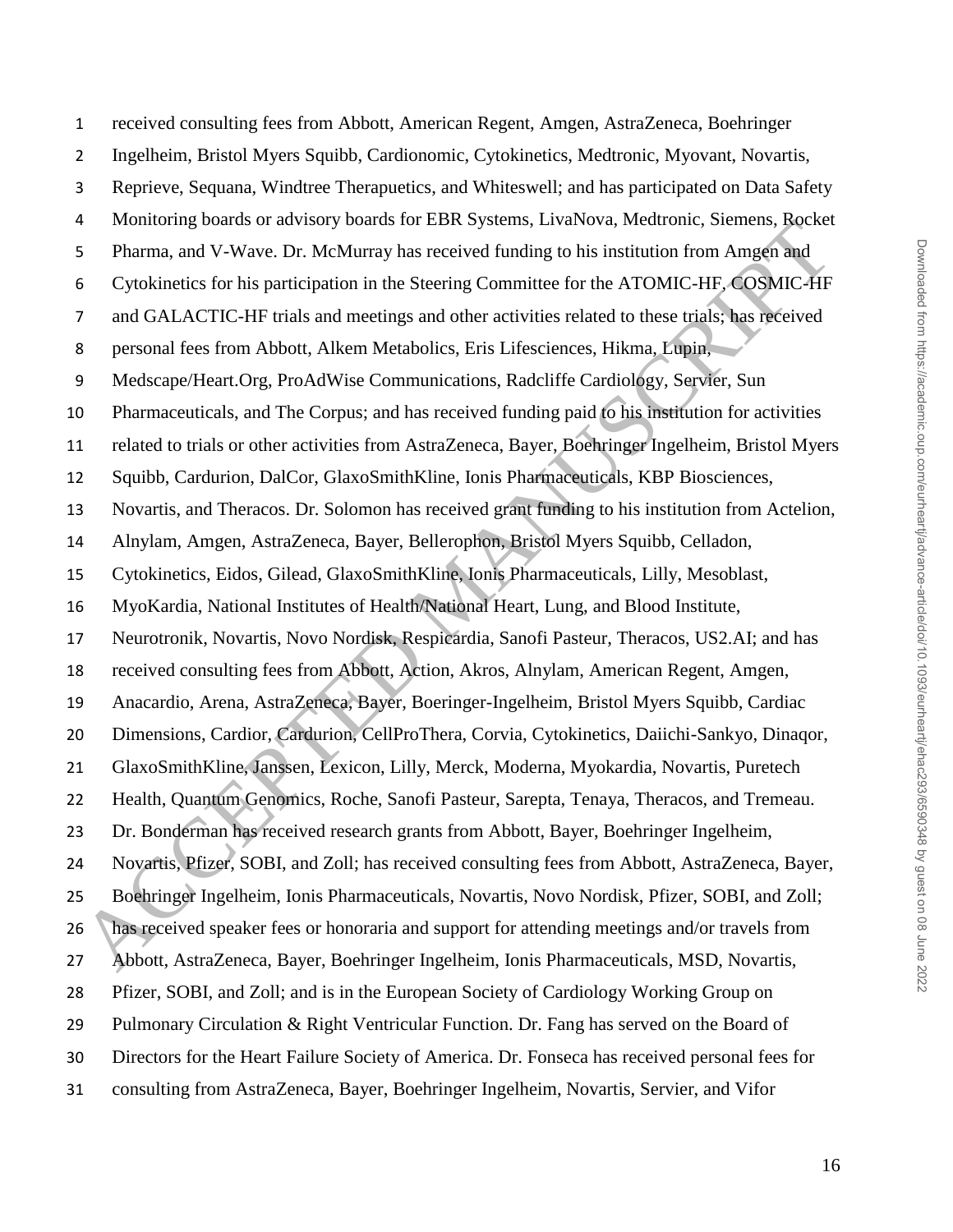received consulting fees from Abbott, American Regent, Amgen, AstraZeneca, Boehringer Ingelheim, Bristol Myers Squibb, Cardionomic, Cytokinetics, Medtronic, Myovant, Novartis, Reprieve, Sequana, Windtree Therapuetics, and Whiteswell; and has participated on Data Safety Monitoring boards or advisory boards for EBR Systems, LivaNova, Medtronic, Siemens, Rocket Pharma, and V-Wave. Dr. McMurray has received funding to his institution from Amgen and Cytokinetics for his participation in the Steering Committee for the ATOMIC-HF, COSMIC-HF and GALACTIC-HF trials and meetings and other activities related to these trials; has received personal fees from Abbott, Alkem Metabolics, Eris Lifesciences, Hikma, Lupin, Medscape/Heart.Org, ProAdWise Communications, Radcliffe Cardiology, Servier, Sun Pharmaceuticals, and The Corpus; and has received funding paid to his institution for activities related to trials or other activities from AstraZeneca, Bayer, Boehringer Ingelheim, Bristol Myers Squibb, Cardurion, DalCor, GlaxoSmithKline, Ionis Pharmaceuticals, KBP Biosciences, Novartis, and Theracos. Dr. Solomon has received grant funding to his institution from Actelion, Alnylam, Amgen, AstraZeneca, Bayer, Bellerophon, Bristol Myers Squibb, Celladon, Cytokinetics, Eidos, Gilead, GlaxoSmithKline, Ionis Pharmaceuticals, Lilly, Mesoblast, MyoKardia, National Institutes of Health/National Heart, Lung, and Blood Institute, Neurotronik, Novartis, Novo Nordisk, Respicardia, Sanofi Pasteur, Theracos, US2.AI; and has received consulting fees from Abbott, Action, Akros, Alnylam, American Regent, Amgen, Anacardio, Arena, AstraZeneca, Bayer, Boeringer-Ingelheim, Bristol Myers Squibb, Cardiac Dimensions, Cardior, Cardurion, CellProThera, Corvia, Cytokinetics, Daiichi-Sankyo, Dinaqor, GlaxoSmithKline, Janssen, Lexicon, Lilly, Merck, Moderna, Myokardia, Novartis, Puretech Health, Quantum Genomics, Roche, Sanofi Pasteur, Sarepta, Tenaya, Theracos, and Tremeau. Dr. Bonderman has received research grants from Abbott, Bayer, Boehringer Ingelheim, Novartis, Pfizer, SOBI, and Zoll; has received consulting fees from Abbott, AstraZeneca, Bayer, Boehringer Ingelheim, Ionis Pharmaceuticals, Novartis, Novo Nordisk, Pfizer, SOBI, and Zoll; has received speaker fees or honoraria and support for attending meetings and/or travels from Abbott, AstraZeneca, Bayer, Boehringer Ingelheim, Ionis Pharmaceuticals, MSD, Novartis, Pfizer, SOBI, and Zoll; and is in the European Society of Cardiology Working Group on Pulmonary Circulation & Right Ventricular Function. Dr. Fang has served on the Board of Directors for the Heart Failure Society of America. Dr. Fonseca has received personal fees for consulting from AstraZeneca, Bayer, Boehringer Ingelheim, Novartis, Servier, and Vifor Monttoning potats or autostary potates ior FarM Systems, Livratvoca, neutronic, siemens, taggeted positive and V-New Dr. MeMorray has received funding to his institution from Amgen and Cytokinetics for his participation in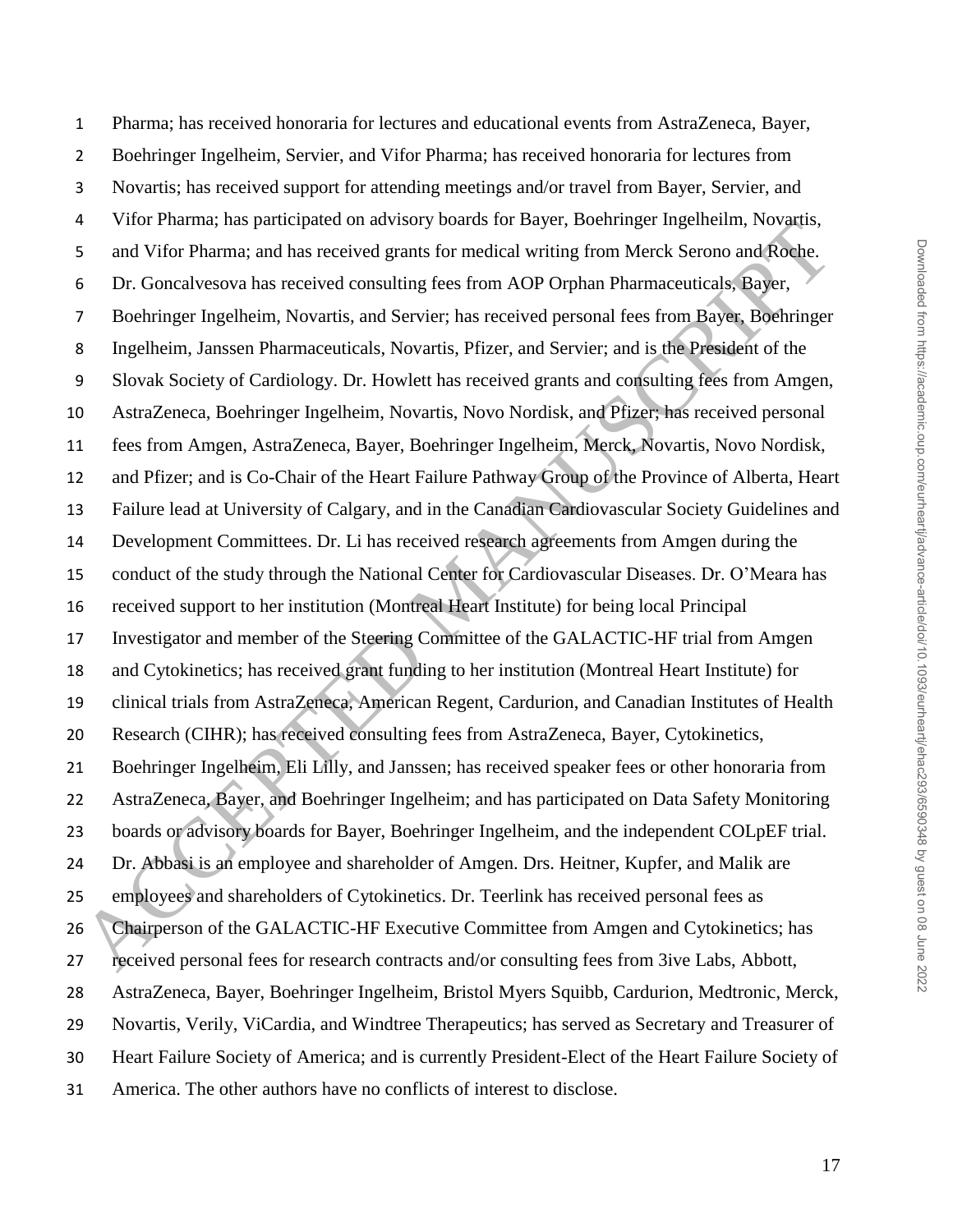Pharma; has received honoraria for lectures and educational events from AstraZeneca, Bayer, Boehringer Ingelheim, Servier, and Vifor Pharma; has received honoraria for lectures from Novartis; has received support for attending meetings and/or travel from Bayer, Servier, and Vifor Pharma; has participated on advisory boards for Bayer, Boehringer Ingelheilm, Novartis, and Vifor Pharma; and has received grants for medical writing from Merck Serono and Roche. Dr. Goncalvesova has received consulting fees from AOP Orphan Pharmaceuticals, Bayer, Boehringer Ingelheim, Novartis, and Servier; has received personal fees from Bayer, Boehringer Ingelheim, Janssen Pharmaceuticals, Novartis, Pfizer, and Servier; and is the President of the Slovak Society of Cardiology. Dr. Howlett has received grants and consulting fees from Amgen, AstraZeneca, Boehringer Ingelheim, Novartis, Novo Nordisk, and Pfizer; has received personal fees from Amgen, AstraZeneca, Bayer, Boehringer Ingelheim, Merck, Novartis, Novo Nordisk, and Pfizer; and is Co-Chair of the Heart Failure Pathway Group of the Province of Alberta, Heart Failure lead at University of Calgary, and in the Canadian Cardiovascular Society Guidelines and Development Committees. Dr. Li has received research agreements from Amgen during the conduct of the study through the National Center for Cardiovascular Diseases. Dr. O'Meara has received support to her institution (Montreal Heart Institute) for being local Principal Investigator and member of the Steering Committee of the GALACTIC-HF trial from Amgen and Cytokinetics; has received grant funding to her institution (Montreal Heart Institute) for clinical trials from AstraZeneca, American Regent, Cardurion, and Canadian Institutes of Health Research (CIHR); has received consulting fees from AstraZeneca, Bayer, Cytokinetics, Boehringer Ingelheim, Eli Lilly, and Janssen; has received speaker fees or other honoraria from AstraZeneca, Bayer, and Boehringer Ingelheim; and has participated on Data Safety Monitoring boards or advisory boards for Bayer, Boehringer Ingelheim, and the independent COLpEF trial. Dr. Abbasi is an employee and shareholder of Amgen. Drs. Heitner, Kupfer, and Malik are employees and shareholders of Cytokinetics. Dr. Teerlink has received personal fees as Chairperson of the GALACTIC-HF Executive Committee from Amgen and Cytokinetics; has received personal fees for research contracts and/or consulting fees from 3ive Labs, Abbott, AstraZeneca, Bayer, Boehringer Ingelheim, Bristol Myers Squibb, Cardurion, Medtronic, Merck, Novartis, Verily, ViCardia, and Windtree Therapeutics; has served as Secretary and Treasurer of Heart Failure Society of America; and is currently President-Elect of the Heart Failure Society of America. The other authors have no conflicts of interest to disclose. The Winding interestinear on anyways was to transport no tend the particular, two stands of the stand of the ACLEPT controls and Vifor Pharma: and has received consulting fees from AOP Orphan Pharmaceuticals. Bayer, Bochri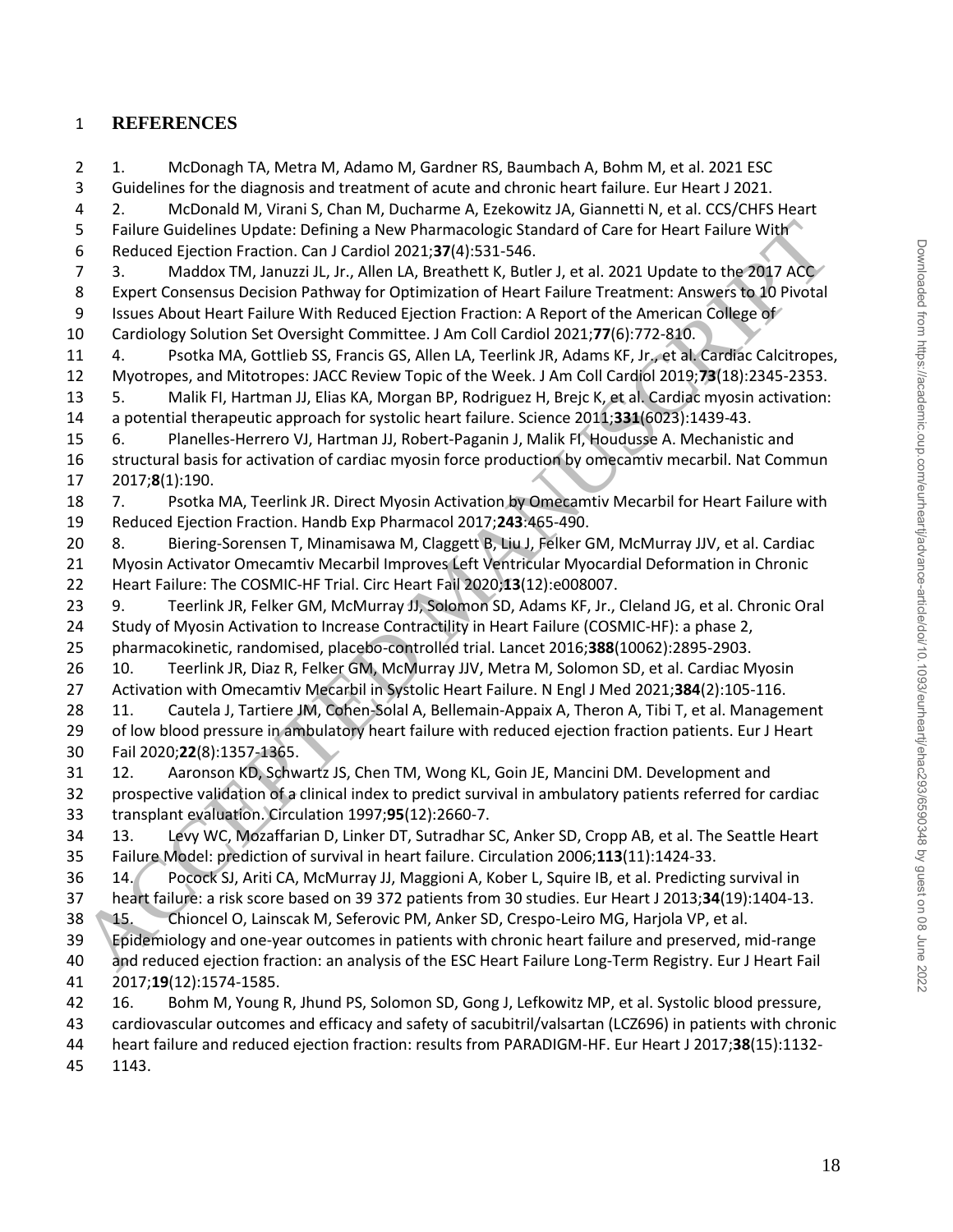## **REFERENCES**

 1. McDonagh TA, Metra M, Adamo M, Gardner RS, Baumbach A, Bohm M, et al. 2021 ESC Guidelines for the diagnosis and treatment of acute and chronic heart failure. Eur Heart J 2021. 2. McDonald M, Virani S, Chan M, Ducharme A, Ezekowitz JA, Giannetti N, et al. CCS/CHFS Heart Failure Guidelines Update: Defining a New Pharmacologic Standard of Care for Heart Failure With Reduced Ejection Fraction. Can J Cardiol 2021;**37**(4):531-546. 7 3. Maddox TM, Januzzi JL, Jr., Allen LA, Breathett K, Butler J, et al. 2021 Update to the 2017 ACC Expert Consensus Decision Pathway for Optimization of Heart Failure Treatment: Answers to 10 Pivotal 9 Issues About Heart Failure With Reduced Ejection Fraction: A Report of the American College of Cardiology Solution Set Oversight Committee. J Am Coll Cardiol 2021;**77**(6):772-810. 4. Psotka MA, Gottlieb SS, Francis GS, Allen LA, Teerlink JR, Adams KF, Jr., et al. Cardiac Calcitropes, Myotropes, and Mitotropes: JACC Review Topic of the Week. J Am Coll Cardiol 2019;**73**(18):2345-2353. 5. Malik FI, Hartman JJ, Elias KA, Morgan BP, Rodriguez H, Brejc K, et al. Cardiac myosin activation: a potential therapeutic approach for systolic heart failure. Science 2011;**331**(6023):1439-43. 6. Planelles-Herrero VJ, Hartman JJ, Robert-Paganin J, Malik FI, Houdusse A. Mechanistic and structural basis for activation of cardiac myosin force production by omecamtiv mecarbil. Nat Commun 2017;**8**(1):190. 7. Psotka MA, Teerlink JR. Direct Myosin Activation by Omecamtiv Mecarbil for Heart Failure with Reduced Ejection Fraction. Handb Exp Pharmacol 2017;**243**:465-490. 8. Biering-Sorensen T, Minamisawa M, Claggett B, Liu J, Felker GM, McMurray JJV, et al. Cardiac Myosin Activator Omecamtiv Mecarbil Improves Left Ventricular Myocardial Deformation in Chronic Heart Failure: The COSMIC-HF Trial. Circ Heart Fail 2020;**13**(12):e008007. 9. Teerlink JR, Felker GM, McMurray JJ, Solomon SD, Adams KF, Jr., Cleland JG, et al. Chronic Oral Study of Myosin Activation to Increase Contractility in Heart Failure (COSMIC-HF): a phase 2, pharmacokinetic, randomised, placebo-controlled trial. Lancet 2016;**388**(10062):2895-2903. 10. Teerlink JR, Diaz R, Felker GM, McMurray JJV, Metra M, Solomon SD, et al. Cardiac Myosin Activation with Omecamtiv Mecarbil in Systolic Heart Failure. N Engl J Med 2021;**384**(2):105-116. 11. Cautela J, Tartiere JM, Cohen-Solal A, Bellemain-Appaix A, Theron A, Tibi T, et al. Management 29 of low blood pressure in ambulatory heart failure with reduced ejection fraction patients. Eur J Heart Fail 2020;**22**(8):1357-1365. 12. Aaronson KD, Schwartz JS, Chen TM, Wong KL, Goin JE, Mancini DM. Development and prospective validation of a clinical index to predict survival in ambulatory patients referred for cardiac transplant evaluation. Circulation 1997;**95**(12):2660-7. 13. Levy WC, Mozaffarian D, Linker DT, Sutradhar SC, Anker SD, Cropp AB, et al. The Seattle Heart Failure Model: prediction of survival in heart failure. Circulation 2006;**113**(11):1424-33. 14. Pocock SJ, Ariti CA, McMurray JJ, Maggioni A, Kober L, Squire IB, et al. Predicting survival in heart failure: a risk score based on 39 372 patients from 30 studies. Eur Heart J 2013;**34**(19):1404-13. 15. Chioncel O, Lainscak M, Seferovic PM, Anker SD, Crespo-Leiro MG, Harjola VP, et al. Epidemiology and one-year outcomes in patients with chronic heart failure and preserved, mid-range and reduced ejection fraction: an analysis of the ESC Heart Failure Long-Term Registry. Eur J Heart Fail 2017;**19**(12):1574-1585. 16. Bohm M, Young R, Jhund PS, Solomon SD, Gong J, Lefkowitz MP, et al. Systolic blood pressure, cardiovascular outcomes and efficacy and safety of sacubitril/valsartan (LCZ696) in patients with chronic heart failure and reduced ejection fraction: results from PARADIGM-HF. Eur Heart J 2017;**38**(15):1132- F eliative Guidelines Update: Updating a New Pharmacologic Standard of Care for Heart Fallure With<br>
The Guideline Update: Infantasii, Jr., Allen LA, Beratett K, Butler, Jet al. 2021 Update to the 2017 ACC<br>
8 Expert Consen

1143.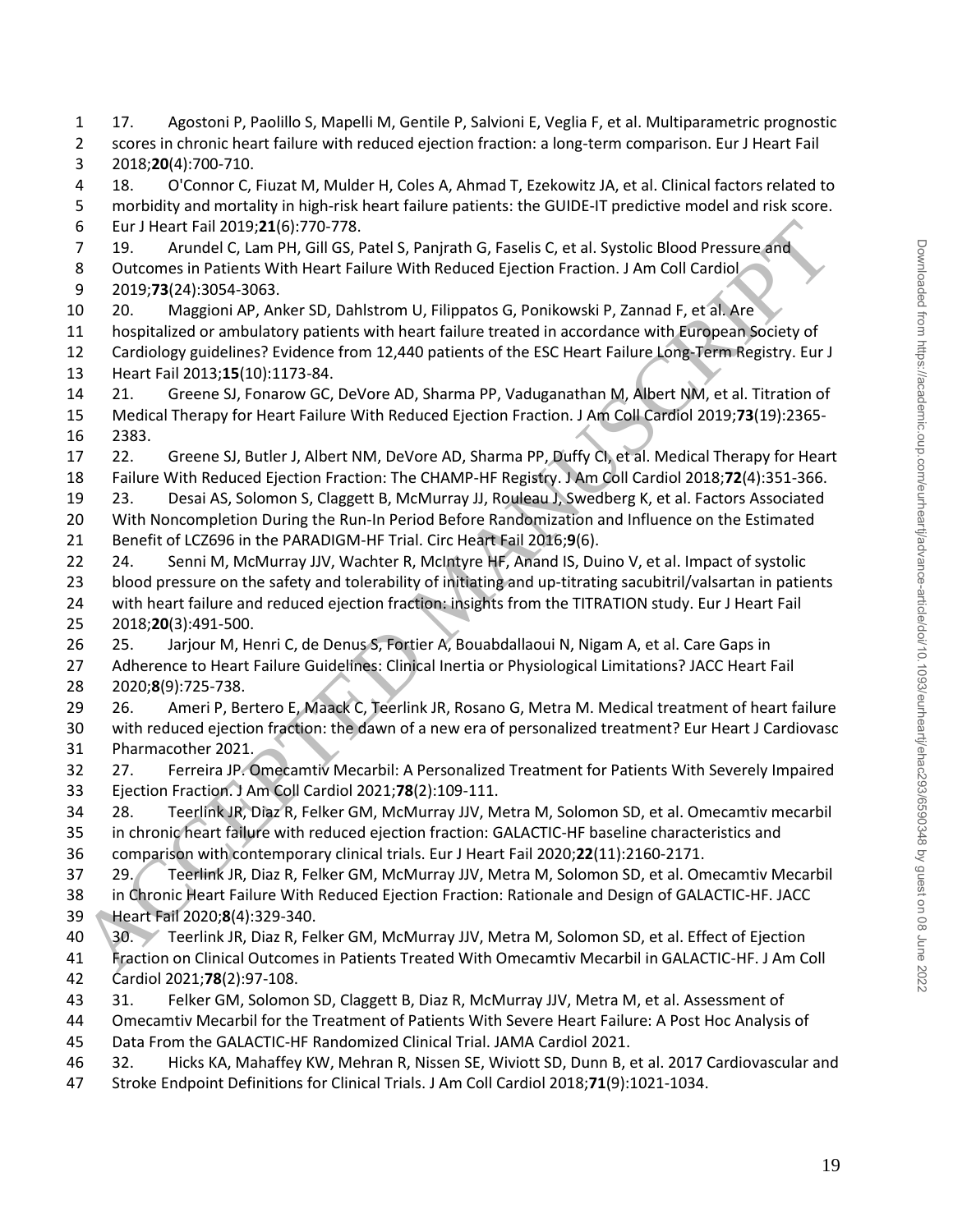17. Agostoni P, Paolillo S, Mapelli M, Gentile P, Salvioni E, Veglia F, et al. Multiparametric prognostic scores in chronic heart failure with reduced ejection fraction: a long-term comparison. Eur J Heart Fail 2018;**20**(4):700-710.

 18. O'Connor C, Fiuzat M, Mulder H, Coles A, Ahmad T, Ezekowitz JA, et al. Clinical factors related to morbidity and mortality in high-risk heart failure patients: the GUIDE-IT predictive model and risk score. Eur J Heart Fail 2019;**21**(6):770-778.

7 19. Arundel C, Lam PH, Gill GS, Patel S, Panjrath G, Faselis C, et al. Systolic Blood Pressure and

8 Outcomes in Patients With Heart Failure With Reduced Ejection Fraction. J Am Coll Cardiol 2019;**73**(24):3054-3063.

20. Maggioni AP, Anker SD, Dahlstrom U, Filippatos G, Ponikowski P, Zannad F, et al. Are

 hospitalized or ambulatory patients with heart failure treated in accordance with European Society of Cardiology guidelines? Evidence from 12,440 patients of the ESC Heart Failure Long-Term Registry. Eur J

Heart Fail 2013;**15**(10):1173-84.

 21. Greene SJ, Fonarow GC, DeVore AD, Sharma PP, Vaduganathan M, Albert NM, et al. Titration of Medical Therapy for Heart Failure With Reduced Ejection Fraction. J Am Coll Cardiol 2019;**73**(19):2365- 2383.

22. Greene SJ, Butler J, Albert NM, DeVore AD, Sharma PP, Duffy CI, et al. Medical Therapy for Heart

Failure With Reduced Ejection Fraction: The CHAMP-HF Registry. J Am Coll Cardiol 2018;**72**(4):351-366.

 23. Desai AS, Solomon S, Claggett B, McMurray JJ, Rouleau J, Swedberg K, et al. Factors Associated With Noncompletion During the Run-In Period Before Randomization and Influence on the Estimated

Benefit of LCZ696 in the PARADIGM-HF Trial. Circ Heart Fail 2016;**9**(6).

24. Senni M, McMurray JJV, Wachter R, McIntyre HF, Anand IS, Duino V, et al. Impact of systolic

 blood pressure on the safety and tolerability of initiating and up-titrating sacubitril/valsartan in patients with heart failure and reduced ejection fraction: insights from the TITRATION study. Eur J Heart Fail 2018;**20**(3):491-500.

 25. Jarjour M, Henri C, de Denus S, Fortier A, Bouabdallaoui N, Nigam A, et al. Care Gaps in Adherence to Heart Failure Guidelines: Clinical Inertia or Physiological Limitations? JACC Heart Fail

2020;**8**(9):725-738.

 26. Ameri P, Bertero E, Maack C, Teerlink JR, Rosano G, Metra M. Medical treatment of heart failure with reduced ejection fraction: the dawn of a new era of personalized treatment? Eur Heart J Cardiovasc Pharmacother 2021. 5 Tur Heart Fail 2019, 21(6): 770-778.<br>
26 Turket Fail 2019, 21(6): 770-778.<br>
2010: Aroundel C, Lam PH, Gill GS, Patel S, Panjrath G, Faselis C, et al. Systolic Blood Pressure and<br>
2019/78/24):3054-3063.<br>
2019/78/24):3054-

 27. Ferreira JP. Omecamtiv Mecarbil: A Personalized Treatment for Patients With Severely Impaired Ejection Fraction. J Am Coll Cardiol 2021;**78**(2):109-111.

 28. Teerlink JR, Diaz R, Felker GM, McMurray JJV, Metra M, Solomon SD, et al. Omecamtiv mecarbil in chronic heart failure with reduced ejection fraction: GALACTIC-HF baseline characteristics and comparison with contemporary clinical trials. Eur J Heart Fail 2020;**22**(11):2160-2171.

 29. Teerlink JR, Diaz R, Felker GM, McMurray JJV, Metra M, Solomon SD, et al. Omecamtiv Mecarbil 38 in Chronic Heart Failure With Reduced Ejection Fraction: Rationale and Design of GALACTIC-HF. JACC Heart Fail 2020;**8**(4):329-340.

 30. Teerlink JR, Diaz R, Felker GM, McMurray JJV, Metra M, Solomon SD, et al. Effect of Ejection Fraction on Clinical Outcomes in Patients Treated With Omecamtiv Mecarbil in GALACTIC-HF. J Am Coll Cardiol 2021;**78**(2):97-108.

31. Felker GM, Solomon SD, Claggett B, Diaz R, McMurray JJV, Metra M, et al. Assessment of

 Omecamtiv Mecarbil for the Treatment of Patients With Severe Heart Failure: A Post Hoc Analysis of Data From the GALACTIC-HF Randomized Clinical Trial. JAMA Cardiol 2021.

 32. Hicks KA, Mahaffey KW, Mehran R, Nissen SE, Wiviott SD, Dunn B, et al. 2017 Cardiovascular and Stroke Endpoint Definitions for Clinical Trials. J Am Coll Cardiol 2018;**71**(9):1021-1034.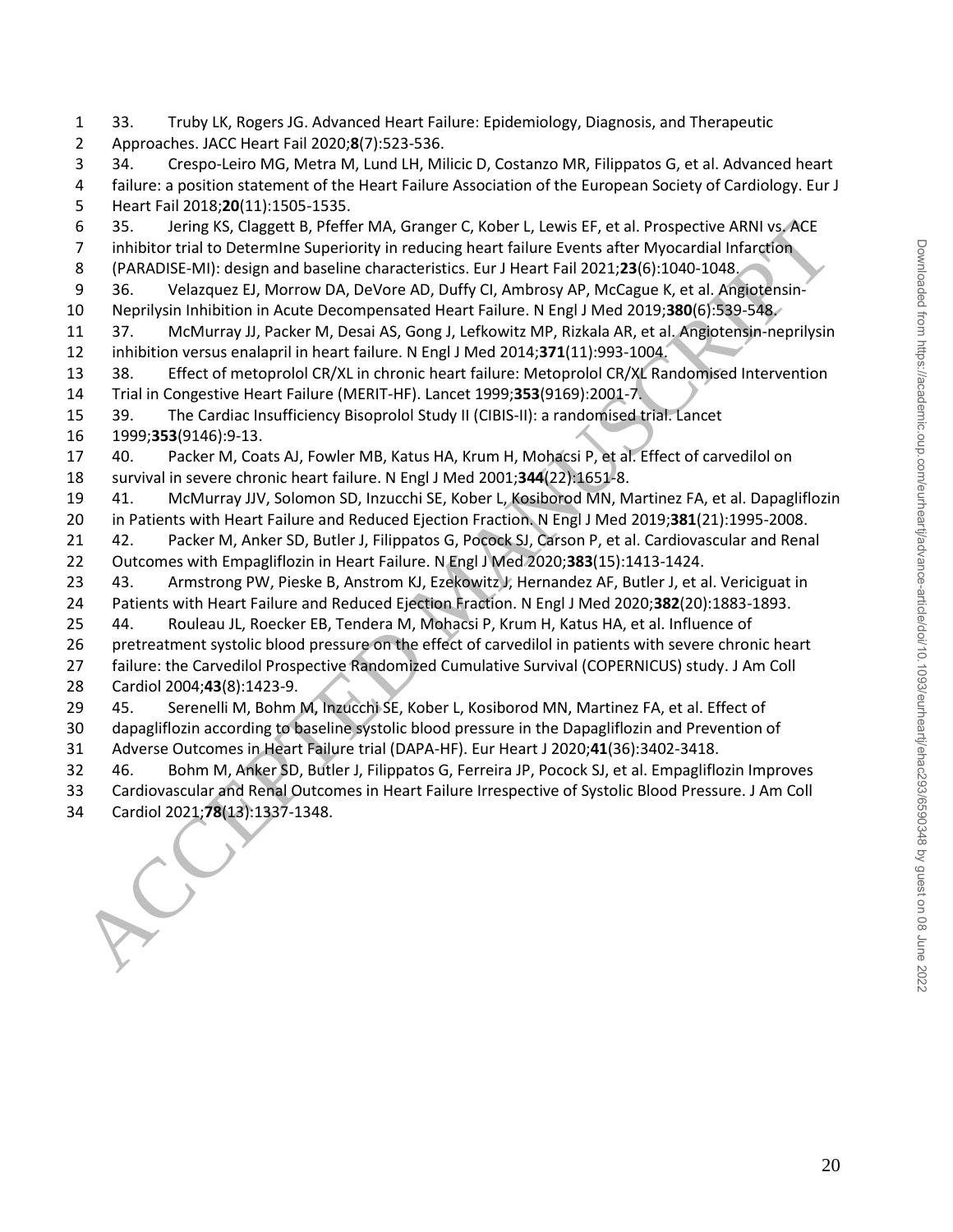33. Truby LK, Rogers JG. Advanced Heart Failure: Epidemiology, Diagnosis, and Therapeutic Approaches. JACC Heart Fail 2020;**8**(7):523-536. 34. Crespo-Leiro MG, Metra M, Lund LH, Milicic D, Costanzo MR, Filippatos G, et al. Advanced heart failure: a position statement of the Heart Failure Association of the European Society of Cardiology. Eur J Heart Fail 2018;**20**(11):1505-1535. 35. Jering KS, Claggett B, Pfeffer MA, Granger C, Kober L, Lewis EF, et al. Prospective ARNI vs. ACE 7 inhibitor trial to DetermIne Superiority in reducing heart failure Events after Myocardial Infarction (PARADISE-MI): design and baseline characteristics. Eur J Heart Fail 2021;**23**(6):1040-1048. 36. Velazquez EJ, Morrow DA, DeVore AD, Duffy CI, Ambrosy AP, McCague K, et al. Angiotensin- Neprilysin Inhibition in Acute Decompensated Heart Failure. N Engl J Med 2019;**380**(6):539-548. 37. McMurray JJ, Packer M, Desai AS, Gong J, Lefkowitz MP, Rizkala AR, et al. Angiotensin-neprilysin inhibition versus enalapril in heart failure. N Engl J Med 2014;**371**(11):993-1004. 38. Effect of metoprolol CR/XL in chronic heart failure: Metoprolol CR/XL Randomised Intervention Trial in Congestive Heart Failure (MERIT-HF). Lancet 1999;**353**(9169):2001-7. 39. The Cardiac Insufficiency Bisoprolol Study II (CIBIS-II): a randomised trial. Lancet 1999;**353**(9146):9-13. 40. Packer M, Coats AJ, Fowler MB, Katus HA, Krum H, Mohacsi P, et al. Effect of carvedilol on survival in severe chronic heart failure. N Engl J Med 2001;**344**(22):1651-8. 41. McMurray JJV, Solomon SD, Inzucchi SE, Kober L, Kosiborod MN, Martinez FA, et al. Dapagliflozin in Patients with Heart Failure and Reduced Ejection Fraction. N Engl J Med 2019;**381**(21):1995-2008. 42. Packer M, Anker SD, Butler J, Filippatos G, Pocock SJ, Carson P, et al. Cardiovascular and Renal Outcomes with Empagliflozin in Heart Failure. N Engl J Med 2020;**383**(15):1413-1424. 43. Armstrong PW, Pieske B, Anstrom KJ, Ezekowitz J, Hernandez AF, Butler J, et al. Vericiguat in Patients with Heart Failure and Reduced Ejection Fraction. N Engl J Med 2020;**382**(20):1883-1893. 44. Rouleau JL, Roecker EB, Tendera M, Mohacsi P, Krum H, Katus HA, et al. Influence of pretreatment systolic blood pressure on the effect of carvedilol in patients with severe chronic heart failure: the Carvedilol Prospective Randomized Cumulative Survival (COPERNICUS) study. J Am Coll Cardiol 2004;**43**(8):1423-9. 45. Serenelli M, Bohm M, Inzucchi SE, Kober L, Kosiborod MN, Martinez FA, et al. Effect of dapagliflozin according to baseline systolic blood pressure in the Dapagliflozin and Prevention of Adverse Outcomes in Heart Failure trial (DAPA-HF). Eur Heart J 2020;**41**(36):3402-3418. 46. Bohm M, Anker SD, Butler J, Filippatos G, Ferreira JP, Pocock SJ, et al. Empagliflozin Improves Cardiovascular and Renal Outcomes in Heart Failure Irrespective of Systolic Blood Pressure. J Am Coll 63.<br>
35 Careng K5, Clagett B, Priefre MAN, Granger C, Kober L, Lewis EF, et al. Prospective<br>
2021; inithiter trial to Determine Superiority in reducing heart failure Events after Myocardial Infarction<br>
36. Velacque EJ, Mor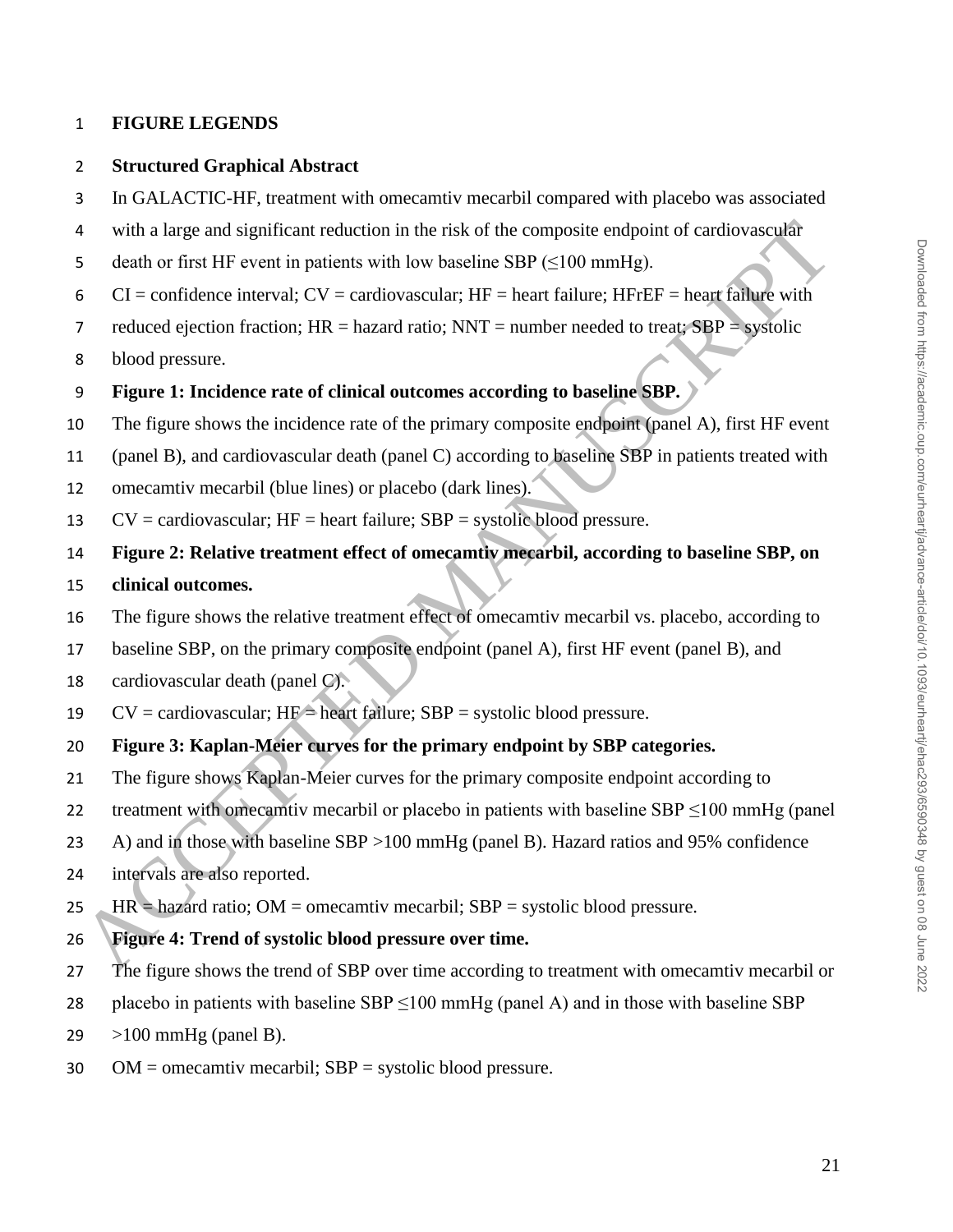## **FIGURE LEGENDS**

#### **Structured Graphical Abstract**

- In GALACTIC-HF, treatment with omecamtiv mecarbil compared with placebo was associated
- with a large and significant reduction in the risk of the composite endpoint of cardiovascular
- 5 death or first HF event in patients with low baseline SBP  $(\leq 100 \text{ mmHg})$ .
- 6 CI = confidence interval;  $CV =$  cardiovascular;  $HF =$  heart failure;  $HF =$  heart failure with
- 7 reduced ejection fraction;  $HR =$  hazard ratio;  $NNT =$  number needed to treat;  $SBP =$  systolic
- blood pressure.
- **Figure 1: Incidence rate of clinical outcomes according to baseline SBP.**
- The figure shows the incidence rate of the primary composite endpoint (panel A), first HF event
- (panel B), and cardiovascular death (panel C) according to baseline SBP in patients treated with 4 with a large and significant reduction in the risk of the composite endpoint of cardiovascular<br>
acutor first HF event in putients with low buseline SBP ( $\leq 100$  mmHg).<br>
CI  $\sim$  confidence interval;  $\rm{CV}$   $\sim$  cardio
- omecamtiv mecarbil (blue lines) or placebo (dark lines).
- 13  $CV = \text{cardiov}$  as  $HF = \text{heart failure};$  SBP = systolic blood pressure.
- **Figure 2: Relative treatment effect of omecamtiv mecarbil, according to baseline SBP, on**

#### **clinical outcomes.**

- The figure shows the relative treatment effect of omecamtiv mecarbil vs. placebo, according to
- baseline SBP, on the primary composite endpoint (panel A), first HF event (panel B), and
- cardiovascular death (panel C).
- 19  $CV = \text{cardiovascular}; HF = \text{heart failure}; SBP = \text{systolic blood pressure}.$

## **Figure 3: Kaplan-Meier curves for the primary endpoint by SBP categories.**

- 21 The figure shows Kaplan-Meier curves for the primary composite endpoint according to
- 22 treatment with omecamtiv mecarbil or placebo in patients with baseline  $SBP \le 100$  mmHg (panel
- A) and in those with baseline SBP >100 mmHg (panel B). Hazard ratios and 95% confidence
- intervals are also reported.
- 25 HR = hazard ratio; OM = omecamtiv mecarbil;  $SBP =$  systolic blood pressure.
- **Figure 4: Trend of systolic blood pressure over time.**
- 27 The figure shows the trend of SBP over time according to treatment with omecamtiv mecarbil or
- 28 placebo in patients with baseline  $SBP \le 100$  mmHg (panel A) and in those with baseline SBP
- >100 mmHg (panel B).
- OM = omecamtiv mecarbil; SBP = systolic blood pressure.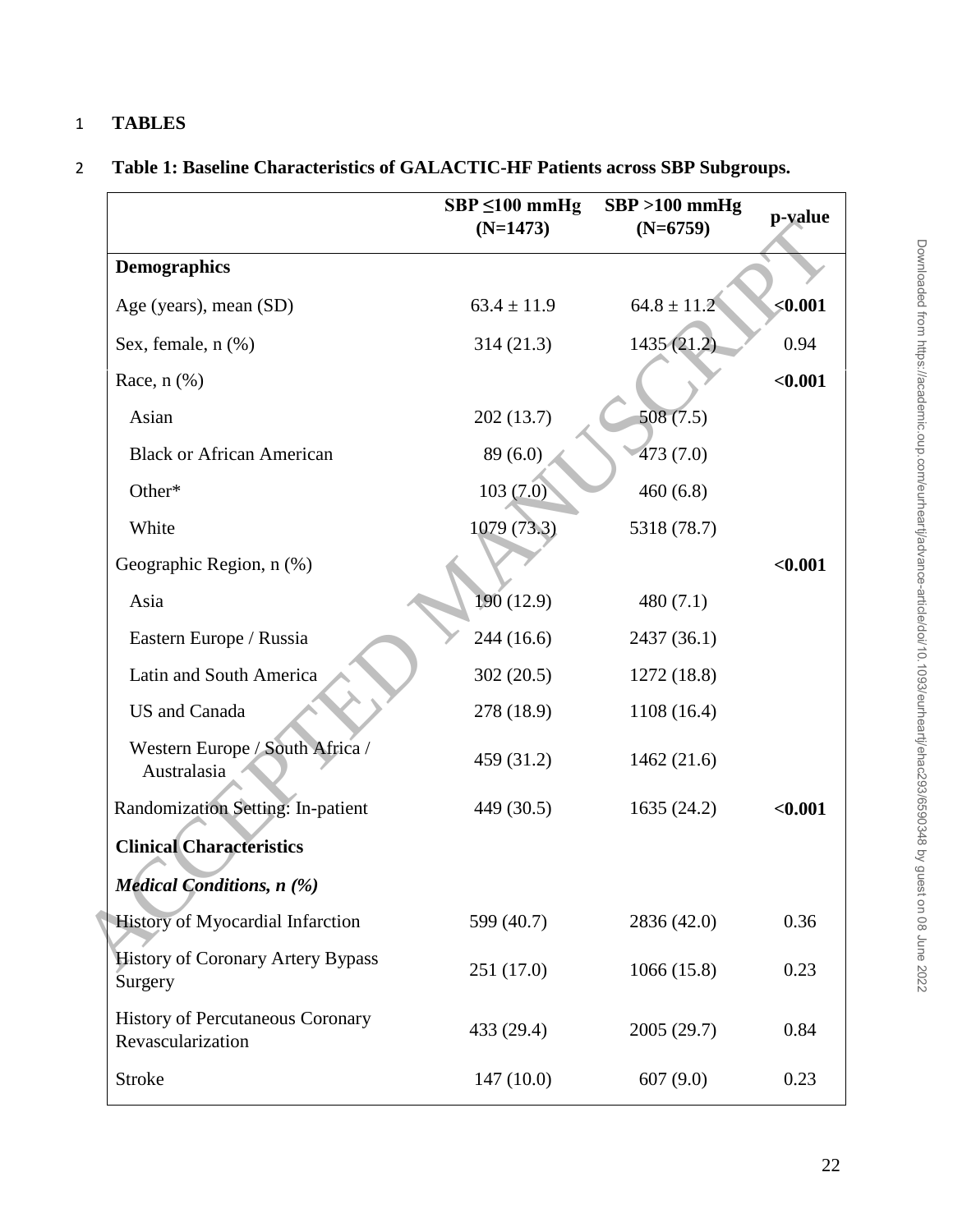# 1 **TABLES**

|  | Table 1: Baseline Characteristics of GALACTIC-HF Patients across SBP Subgroups. |  |
|--|---------------------------------------------------------------------------------|--|
|  |                                                                                 |  |

|                                                              | $SBP \leq 100$ mmHg<br>$(N=1473)$ | $SBP > 100$ mmHg<br>$(N=6759)$ | p-value |
|--------------------------------------------------------------|-----------------------------------|--------------------------------|---------|
| <b>Demographics</b>                                          |                                   |                                |         |
| Age (years), mean (SD)                                       | $63.4 \pm 11.9$                   | $64.8 \pm 11.2$                | < 0.001 |
| Sex, female, n (%)                                           | 314(21.3)                         | 1435(21.2)                     | 0.94    |
| Race, $n$ $(\%)$                                             |                                   |                                | < 0.001 |
| Asian                                                        | 202(13.7)                         | 508(7.5)                       |         |
| <b>Black or African American</b>                             | 89(6.0)                           | 473(7.0)                       |         |
| Other*                                                       | 103(7.0)                          | 460(6.8)                       |         |
| White                                                        | 1079 (73.3)                       | 5318 (78.7)                    |         |
| Geographic Region, n (%)                                     |                                   |                                | < 0.001 |
| Asia                                                         | 190 (12.9)                        | 480 $(7.1)$                    |         |
| Eastern Europe / Russia                                      | 244 (16.6)                        | 2437 (36.1)                    |         |
| Latin and South America                                      | 302(20.5)                         | 1272(18.8)                     |         |
| <b>US</b> and Canada                                         | 278 (18.9)                        | 1108(16.4)                     |         |
| Western Europe / South Africa /<br>Australasia               | 459 (31.2)                        | 1462(21.6)                     |         |
| Randomization Setting: In-patient                            | 449 (30.5)                        | 1635(24.2)                     | < 0.001 |
| <b>Clinical Characteristics</b>                              |                                   |                                |         |
| <b>Medical Conditions, n</b> (%)                             |                                   |                                |         |
| <b>History of Myocardial Infarction</b>                      | 599 (40.7)                        | 2836 (42.0)                    | 0.36    |
| <b>History of Coronary Artery Bypass</b><br>Surgery          | 251 (17.0)                        | 1066(15.8)                     | 0.23    |
| <b>History of Percutaneous Coronary</b><br>Revascularization | 433 (29.4)                        | 2005 (29.7)                    | 0.84    |
| <b>Stroke</b>                                                | 147(10.0)                         | 607(9.0)                       | 0.23    |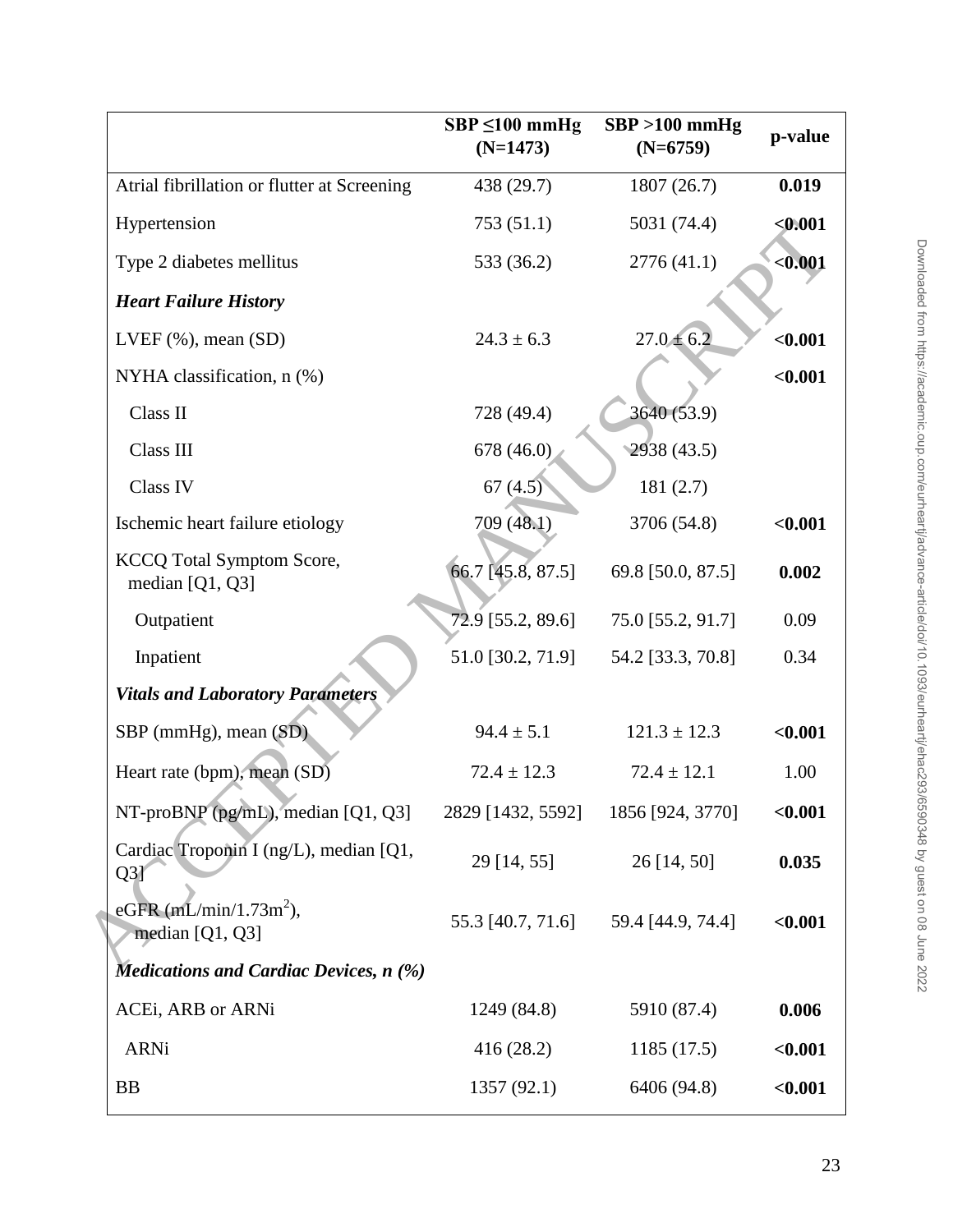|                                                       | $SBP \le 100$ mmHg<br>$(N=1473)$ | $SBP > 100$ mmHg<br>$(N=6759)$ | p-value |
|-------------------------------------------------------|----------------------------------|--------------------------------|---------|
| Atrial fibrillation or flutter at Screening           | 438 (29.7)                       | 1807 (26.7)                    | 0.019   |
| Hypertension                                          | 753(51.1)                        | 5031 (74.4)                    | < 0.001 |
| Type 2 diabetes mellitus                              | 533 (36.2)                       | 2776(41.1)                     | $0.001$ |
| <b>Heart Failure History</b>                          |                                  |                                |         |
| LVEF $(\%)$ , mean $(SD)$                             | $24.3 \pm 6.3$                   | $27.0 \pm 6.2$                 | $0.001$ |
| NYHA classification, $n$ (%)                          |                                  |                                | < 0.001 |
| Class II                                              | 728 (49.4)                       | 3640 (53.9)                    |         |
| Class III                                             | 678 (46.0)                       | 2938 (43.5)                    |         |
| Class IV                                              | 67(4.5)                          | 181(2.7)                       |         |
| Ischemic heart failure etiology                       | 709 (48.1)                       | 3706 (54.8)                    | < 0.001 |
| <b>KCCQ Total Symptom Score,</b><br>median $[Q1, Q3]$ | 66.7 [45.8, 87.5]                | 69.8 [50.0, 87.5]              | 0.002   |
| Outpatient                                            | 72.9 [55.2, 89.6]                | 75.0 [55.2, 91.7]              | 0.09    |
| Inpatient                                             | 51.0 [30.2, 71.9]                | 54.2 [33.3, 70.8]              | 0.34    |
| <b>Vitals and Laboratory Parameters</b>               |                                  |                                |         |
| SBP (mmHg), mean (SD)                                 | $94.4 \pm 5.1$                   | $121.3 \pm 12.3$               | < 0.001 |
| Heart rate (bpm), mean (SD)                           | $72.4 \pm 12.3$                  | $72.4 \pm 12.1$                | 1.00    |
| NT-proBNP ( $pg/mL$ ), median [Q1, Q3]                | 2829 [1432, 5592]                | 1856 [924, 3770]               | < 0.001 |
| Cardiac Troponin I (ng/L), median [Q1,<br>Q3          | 29 [14, 55]                      | 26 [14, 50]                    | 0.035   |
| eGFR $(mL/min/1.73m^2)$ ,<br>median [Q1, Q3]          | 55.3 [40.7, 71.6]                | 59.4 [44.9, 74.4]              | $0.001$ |
| Medications and Cardiac Devices, $n$ (%)              |                                  |                                |         |
| ACEi, ARB or ARNi                                     | 1249 (84.8)                      | 5910 (87.4)                    | 0.006   |
| <b>ARNi</b>                                           | 416(28.2)                        | 1185(17.5)                     | $0.001$ |
| <b>BB</b>                                             | 1357(92.1)                       | 6406 (94.8)                    | < 0.001 |
|                                                       |                                  |                                |         |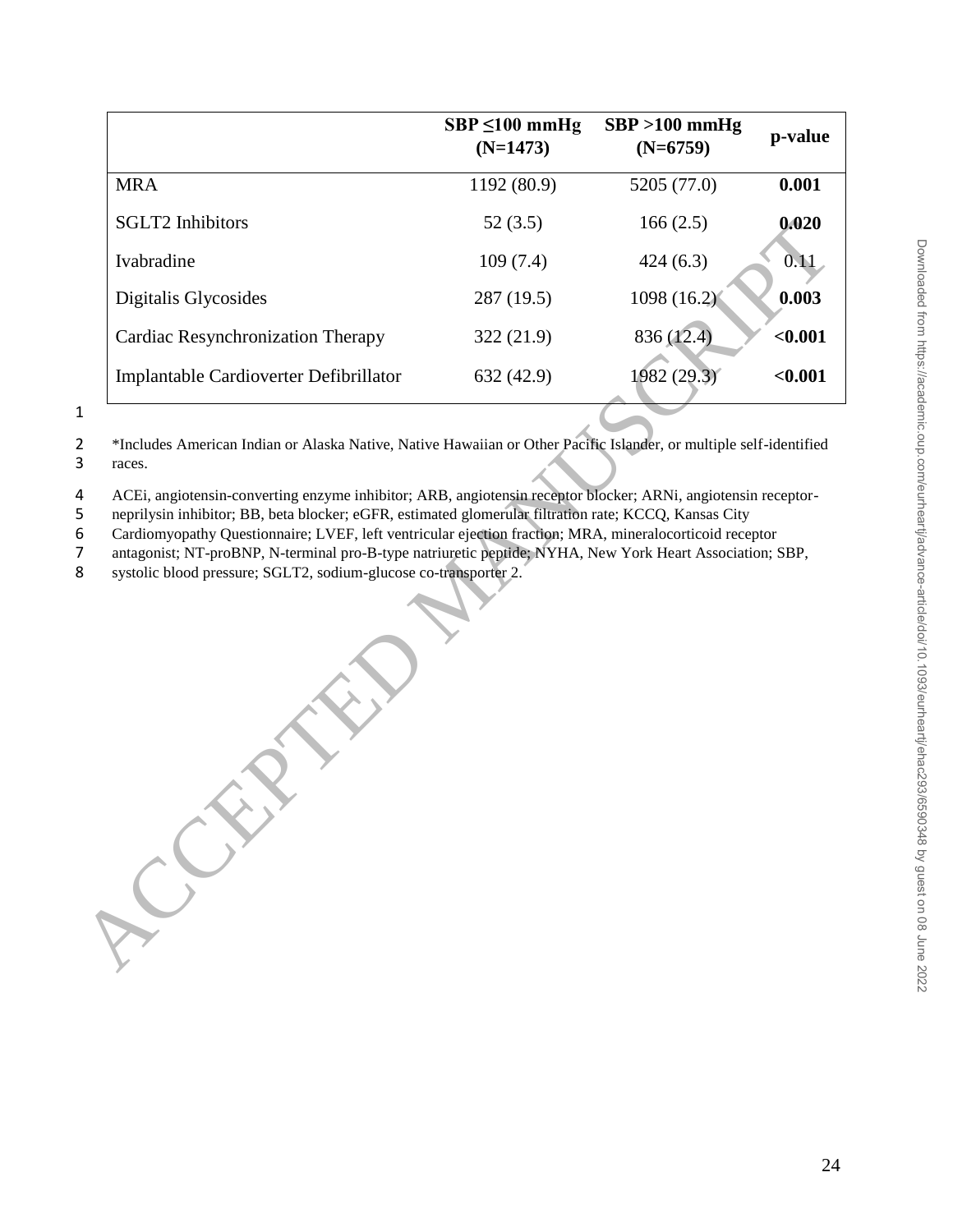|                                                                                                                                                                                                                                                                                                                                                                                                                                                                                                                   | $SBP \le 100$ mmHg<br>$(N=1473)$ | $SBP > 100$ mmHg<br>$(N=6759)$ | p-value |
|-------------------------------------------------------------------------------------------------------------------------------------------------------------------------------------------------------------------------------------------------------------------------------------------------------------------------------------------------------------------------------------------------------------------------------------------------------------------------------------------------------------------|----------------------------------|--------------------------------|---------|
| <b>MRA</b>                                                                                                                                                                                                                                                                                                                                                                                                                                                                                                        | 1192 (80.9)                      | 5205 (77.0)                    | 0.001   |
| <b>SGLT2</b> Inhibitors                                                                                                                                                                                                                                                                                                                                                                                                                                                                                           | 52(3.5)                          | 166(2.5)                       | 0.020   |
| Ivabradine                                                                                                                                                                                                                                                                                                                                                                                                                                                                                                        | 109(7.4)                         | 424(6.3)                       | 0.11    |
| Digitalis Glycosides                                                                                                                                                                                                                                                                                                                                                                                                                                                                                              | 287 (19.5)                       | 1098 (16.2)                    | 0.003   |
| Cardiac Resynchronization Therapy                                                                                                                                                                                                                                                                                                                                                                                                                                                                                 | 322(21.9)                        | 836 (12.4)                     | $0.001$ |
| Implantable Cardioverter Defibrillator                                                                                                                                                                                                                                                                                                                                                                                                                                                                            | 632 (42.9)                       | 1982 (29.3)                    | < 0.001 |
| ACEi, angiotensin-converting enzyme inhibitor; ARB, angiotensin receptor blocker; ARNi, angiotensin receptor-<br>neprilysin inhibitor; BB, beta blocker; eGFR, estimated glomerular filtration rate; KCCQ, Kansas City<br>Cardiomyopathy Questionnaire; LVEF, left ventricular ejection fraction; MRA, mineralocorticoid receptor<br>antagonist; NT-proBNP, N-terminal pro-B-type natriuretic peptide; NYHA, New York Heart Association; SBP,<br>systolic blood pressure; SGLT2, sodium-glucose co-transporter 2. |                                  |                                |         |

1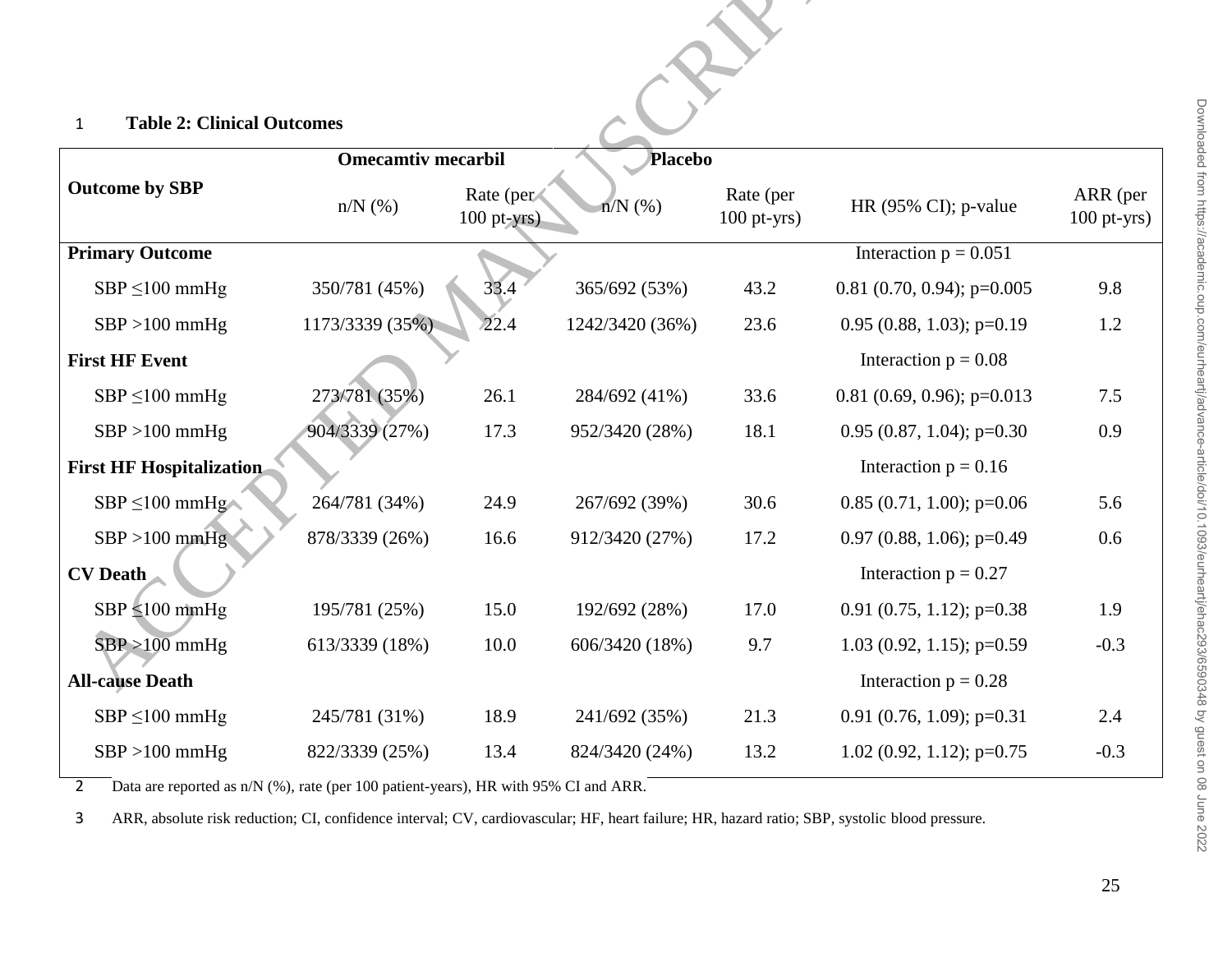## 1 **Table 2: Clinical Outcomes**

| <b>Table 2: Clinical Outcomes</b><br>$\mathbf{1}$ |                           |                            |                 |                            |                                  |                           |
|---------------------------------------------------|---------------------------|----------------------------|-----------------|----------------------------|----------------------------------|---------------------------|
|                                                   | <b>Omecamtiv mecarbil</b> |                            | <b>Placebo</b>  |                            |                                  |                           |
| <b>Outcome by SBP</b>                             | $n/N$ $(\%)$              | Rate (per<br>$100$ pt-yrs) | $n/N$ (%)       | Rate (per<br>$100$ pt-yrs) | HR $(95\% \text{ CI})$ ; p-value | ARR (per<br>$100$ pt-yrs) |
| <b>Primary Outcome</b>                            |                           |                            |                 |                            | Interaction $p = 0.051$          |                           |
| $SBP \le 100$ mmHg                                | 350/781 (45%)             | 33.4                       | 365/692 (53%)   | 43.2                       | $0.81$ (0.70, 0.94); p=0.005     | 9.8                       |
| $SBP > 100$ mmHg                                  | 1173/3339 (35%)           | 22.4                       | 1242/3420 (36%) | 23.6                       | $0.95$ (0.88, 1.03); p=0.19      | 1.2                       |
| <b>First HF Event</b>                             |                           |                            |                 |                            | Interaction $p = 0.08$           |                           |
| $SBP \le 100$ mmHg                                | 273/781 (35%)             | 26.1                       | 284/692 (41%)   | 33.6                       | $0.81$ (0.69, 0.96); p=0.013     | 7.5                       |
| $SBP > 100$ mmHg                                  | 904/3339 (27%)            | 17.3                       | 952/3420 (28%)  | 18.1                       | $0.95$ (0.87, 1.04); p=0.30      | 0.9                       |
| <b>First HF Hospitalization</b>                   |                           |                            |                 |                            | Interaction $p = 0.16$           |                           |
| $SBP \le 100$ mmHg                                | 264/781 (34%)             | 24.9                       | 267/692 (39%)   | 30.6                       | $0.85(0.71, 1.00); p=0.06$       | 5.6                       |
| $SBP > 100$ mmHg                                  | 878/3339 (26%)            | 16.6                       | 912/3420 (27%)  | 17.2                       | $0.97$ (0.88, 1.06); p=0.49      | 0.6                       |
| <b>CV</b> Death                                   |                           |                            |                 |                            | Interaction $p = 0.27$           |                           |
| $SBP \le 100$ mmHg                                | 195/781 (25%)             | 15.0                       | 192/692 (28%)   | 17.0                       | $0.91(0.75, 1.12); p=0.38$       | 1.9                       |
| $SBP > 100$ mmHg                                  | 613/3339 (18%)            | 10.0                       | 606/3420 (18%)  | 9.7                        | $1.03$ (0.92, 1.15); p=0.59      | $-0.3$                    |
| <b>All-cause Death</b>                            |                           |                            |                 |                            | Interaction $p = 0.28$           |                           |
| $SBP \le 100$ mmHg                                | 245/781 (31%)             | 18.9                       | 241/692 (35%)   | 21.3                       | $0.91(0.76, 1.09); p=0.31$       | 2.4                       |
| $SBP > 100$ mmHg                                  | 822/3339 (25%)            | 13.4                       | 824/3420 (24%)  | 13.2                       | $1.02$ (0.92, 1.12); p=0.75      | $-0.3$                    |

2 Data are reported as n/N (%), rate (per 100 patient-years), HR with 95% CI and ARR.

3 ARR, absolute risk reduction; CI, confidence interval; CV, cardiovascular; HF, heart failure; HR, hazard ratio; SBP, systolic blood pressure.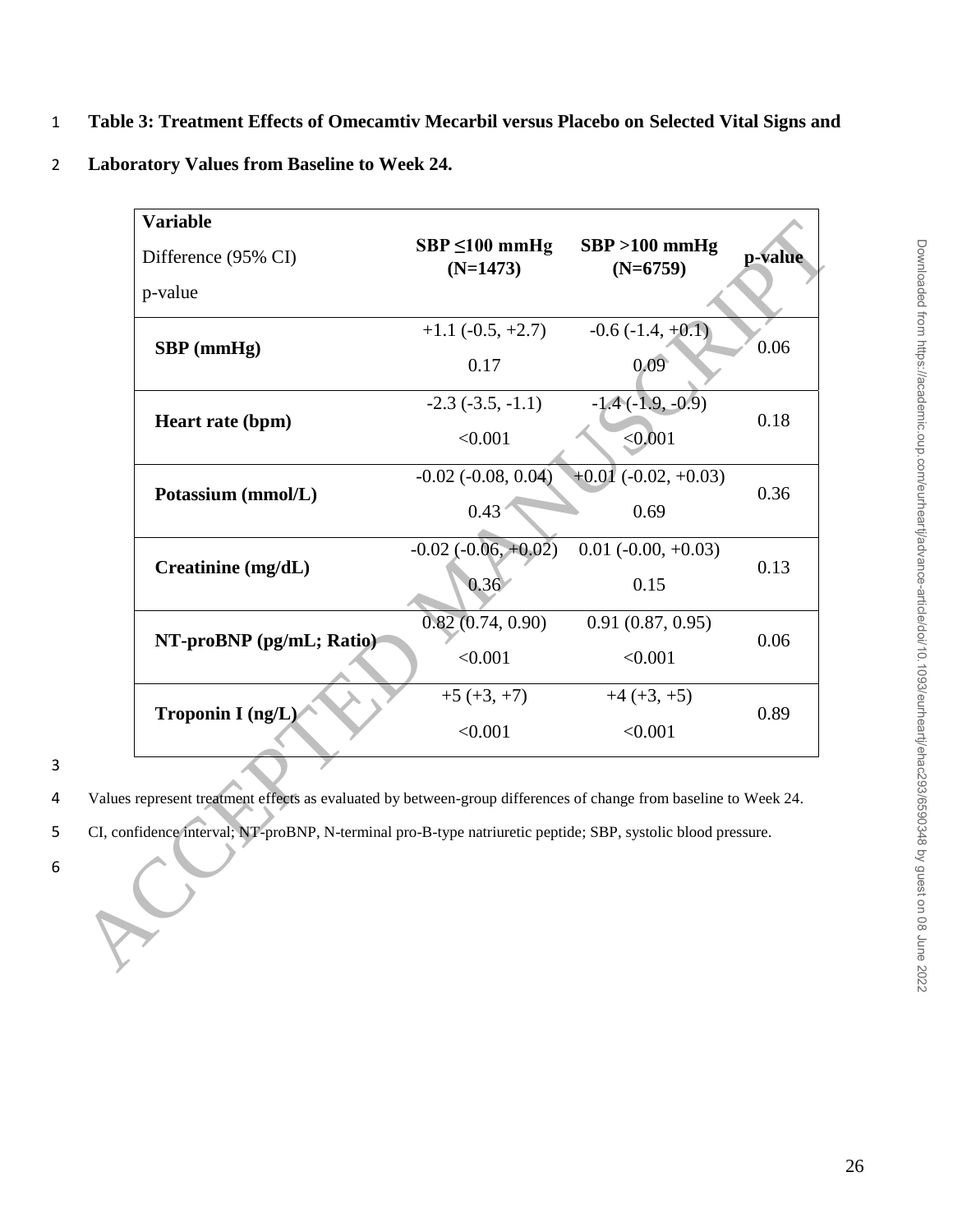1 **Table 3: Treatment Effects of Omecamtiv Mecarbil versus Placebo on Selected Vital Signs and** 

2 **Laboratory Values from Baseline to Week 24.**

| <b>Variable</b><br>Difference (95% CI)                                                                                                                                                                                           | $SBP \le 100$ mmHg<br>$(N=1473)$ | $SBP > 100$ mmHg<br>$(N=6759)$ | p-value |  |
|----------------------------------------------------------------------------------------------------------------------------------------------------------------------------------------------------------------------------------|----------------------------------|--------------------------------|---------|--|
| p-value                                                                                                                                                                                                                          |                                  |                                |         |  |
| SBP (mmHg)                                                                                                                                                                                                                       | $+1.1$ ( $-0.5, +2.7$ )          | $-0.6(-1.4, +0.1)$             | 0.06    |  |
|                                                                                                                                                                                                                                  | 0.17                             | 0.09 <sup>°</sup>              |         |  |
| Heart rate (bpm)                                                                                                                                                                                                                 | $-2.3$ $(-3.5, -1.1)$            | $-1.4(-1.9, -0.9)$             | 0.18    |  |
|                                                                                                                                                                                                                                  | < 0.001                          | < 0.001                        |         |  |
| Potassium (mmol/L)                                                                                                                                                                                                               | $-0.02$ $(-0.08, 0.04)$          | $+0.01$ (-0.02, +0.03)         |         |  |
|                                                                                                                                                                                                                                  | 0.43                             | 0.69                           | 0.36    |  |
| Creatinine (mg/dL)                                                                                                                                                                                                               | $-0.02$ $(-0.06, +0.02)$         | $0.01 (-0.00, +0.03)$          | 0.13    |  |
|                                                                                                                                                                                                                                  | 0.36                             | 0.15                           |         |  |
| NT-proBNP (pg/mL; Ratio)                                                                                                                                                                                                         | 0.82(0.74, 0.90)                 | 0.91(0.87, 0.95)               | 0.06    |  |
|                                                                                                                                                                                                                                  | < 0.001                          | < 0.001                        |         |  |
| Troponin I (ng/L)                                                                                                                                                                                                                | $+5 (+3, +7)$                    | $+4 (+3, +5)$                  | 0.89    |  |
|                                                                                                                                                                                                                                  | < 0.001                          | < 0.001                        |         |  |
| Values represent treatment effects as evaluated by between-group differences of change from baseline to Week 24.<br>CI, confidence interval; NT-proBNP, N-terminal pro-B-type natriuretic peptide; SBP, systolic blood pressure. |                                  |                                |         |  |
|                                                                                                                                                                                                                                  |                                  |                                |         |  |

4 Values represent treatment effects as evaluated by between-group differences of change from baseline to Week 24.

- 5 CI, confidence interval; NT-proBNP, N-terminal pro-B-type natriuretic peptide; SBP, systolic blood pressure.
- 6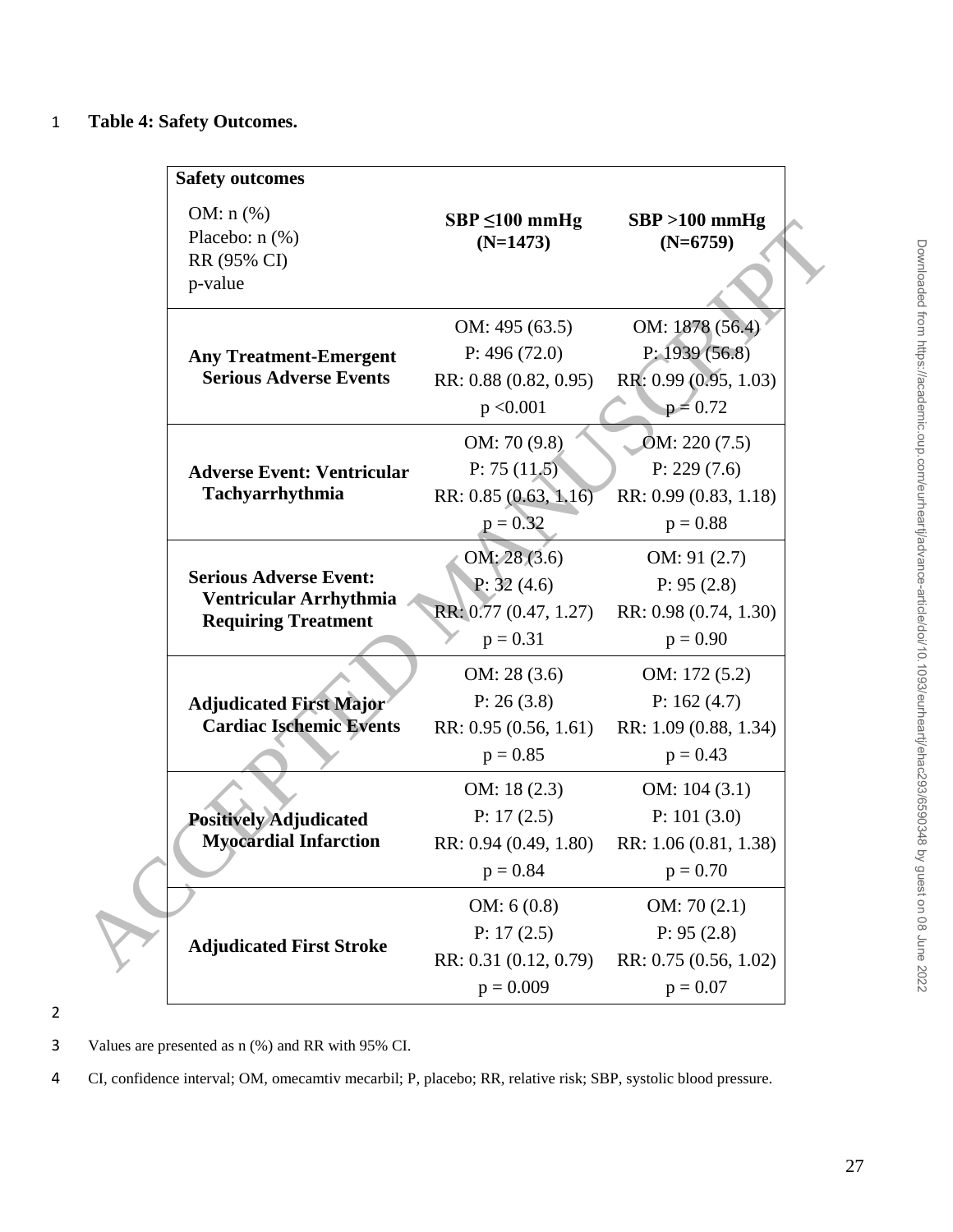## 1 **Table 4: Safety Outcomes.**

| <b>Safety outcomes</b>                                         |                                       |                                        |
|----------------------------------------------------------------|---------------------------------------|----------------------------------------|
| OM: $n$ (%)<br>Placebo: $n$ (%)<br>RR (95% CI)<br>p-value      | $SBP \le 100$ mmHg<br>$(N=1473)$      | $SBP > 100$ mmHg<br>$(N=6759)$         |
|                                                                | OM: 495 (63.5)                        | OM: 1878 (56.4)                        |
| <b>Any Treatment-Emergent</b><br><b>Serious Adverse Events</b> | P: 496(72.0)<br>RR: 0.88 (0.82, 0.95) | P: 1939(56.8)<br>RR: 0.99 (0.95, 1.03) |
|                                                                | p < 0.001                             | $p = 0.72$                             |
|                                                                | OM: 70 (9.8)                          | OM: 220 (7.5)                          |
| <b>Adverse Event: Ventricular</b>                              | P: 75 $(11.5)$                        | P: 229(7.6)                            |
| Tachyarrhythmia                                                | RR: 0.85 (0.63, 1.16)                 | RR: 0.99 (0.83, 1.18)                  |
|                                                                | $p = 0.32$                            | $p = 0.88$                             |
|                                                                | OM: 28(3.6)                           | OM: 91(2.7)                            |
| <b>Serious Adverse Event:</b>                                  | P: $32(4.6)$                          | P: 95(2.8)                             |
| Ventricular Arrhythmia<br><b>Requiring Treatment</b>           | RR: 0.77 (0.47, 1.27)                 | RR: 0.98 (0.74, 1.30)                  |
|                                                                | $p = 0.31$                            | $p = 0.90$                             |
|                                                                | OM: 28(3.6)                           | OM: $172(5.2)$                         |
| <b>Adjudicated First Major</b>                                 | P: 26(3.8)                            | P: $162(4.7)$                          |
| <b>Cardiac Ischemic Events</b>                                 | RR: 0.95 (0.56, 1.61)                 | RR: 1.09 (0.88, 1.34)                  |
|                                                                | $p = 0.85$                            | $p = 0.43$                             |
|                                                                | OM: $18(2.3)$                         | OM: $104(3.1)$                         |
| <b>Positively Adjudicated</b>                                  | P: 17(2.5)                            | P: 101(3.0)                            |
| <b>Myocardial Infarction</b>                                   | RR: 0.94 (0.49, 1.80)                 | RR: 1.06 (0.81, 1.38)                  |
|                                                                | $p = 0.84$                            | $p = 0.70$                             |
| <b>Adjudicated First Stroke</b>                                | OM: $6(0.8)$                          | OM: 70(2.1)                            |
|                                                                | P: 17(2.5)                            | P: 95(2.8)                             |
|                                                                | RR: 0.31 (0.12, 0.79)                 | RR: 0.75 (0.56, 1.02)                  |
|                                                                | $p = 0.009$                           | $p = 0.07$                             |

2

3 Values are presented as n (%) and RR with 95% CI.

4 CI, confidence interval; OM, omecamtiv mecarbil; P, placebo; RR, relative risk; SBP, systolic blood pressure.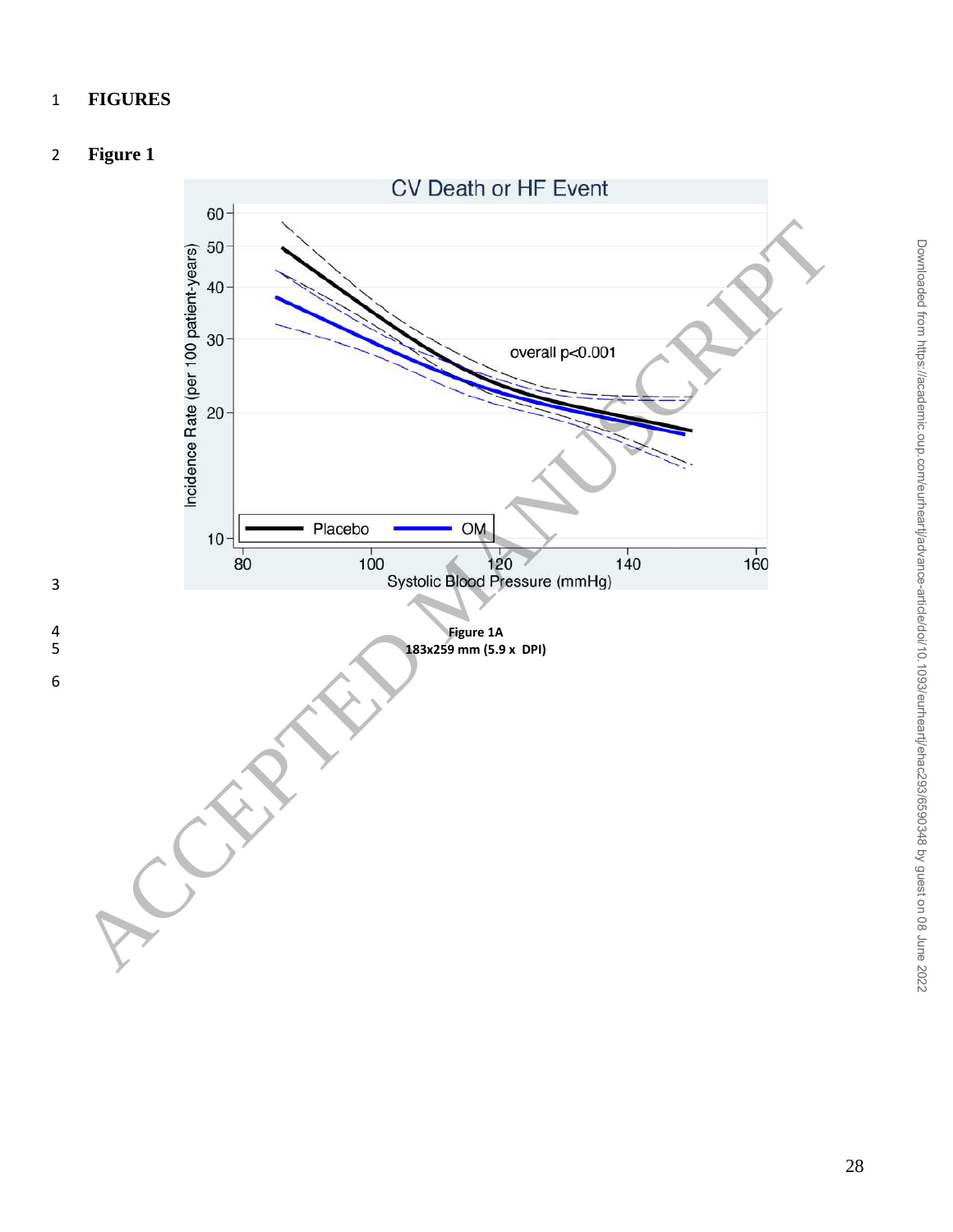## **FIGURES**

## **Figure 1**

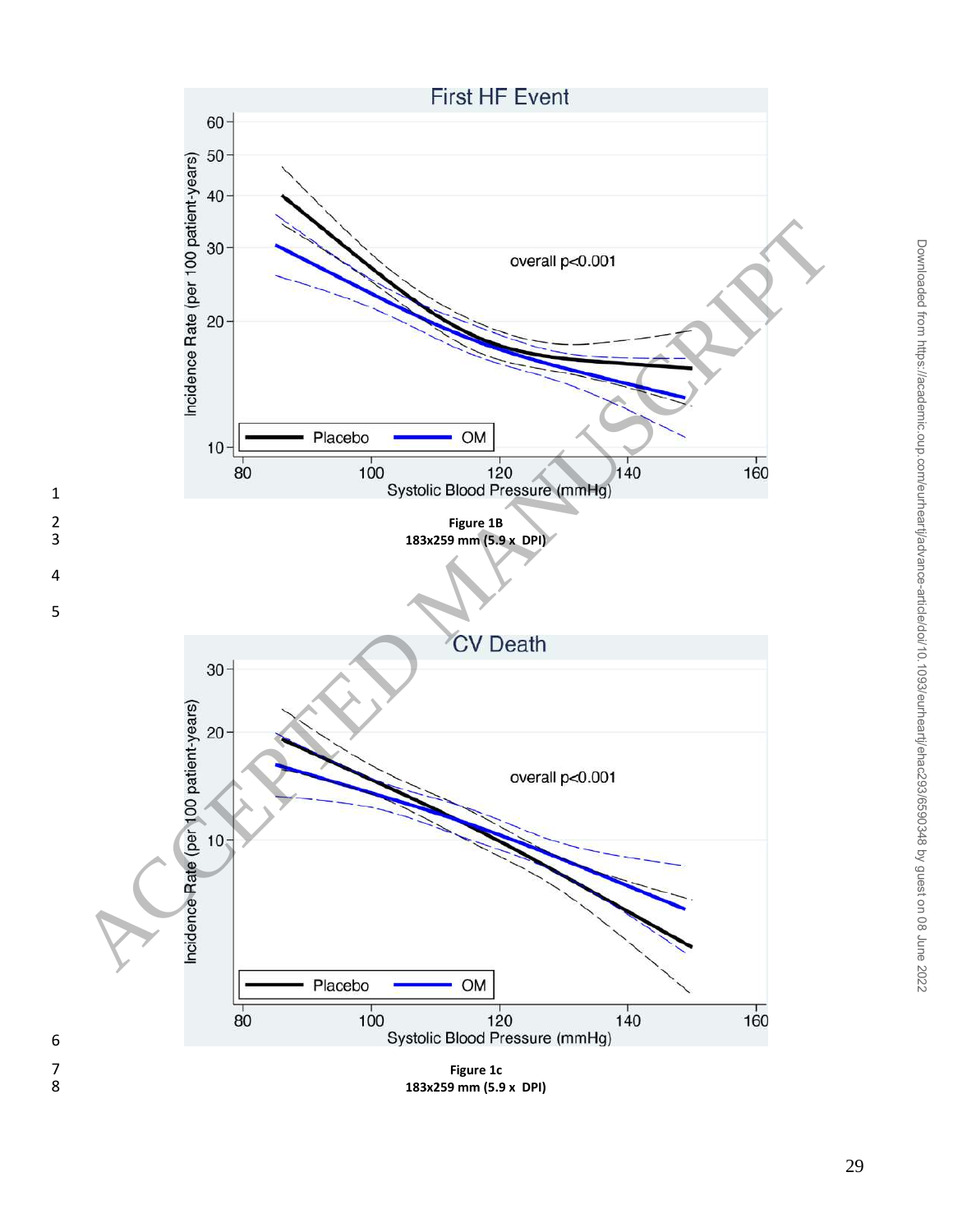

**183x259 mm (5.9 x DPI)**

Downloaded from https://academic.oup.com/eurheartj/advance-article/doi/10.1093/eurheartj/ehac293/6590348 by guest on 08 June 2022

Downloaded from https://academic.oup.com/eurheartj/advance-article/doi/10.1093/eurheartj/ehac293/6590348 by guest on 08 June 2022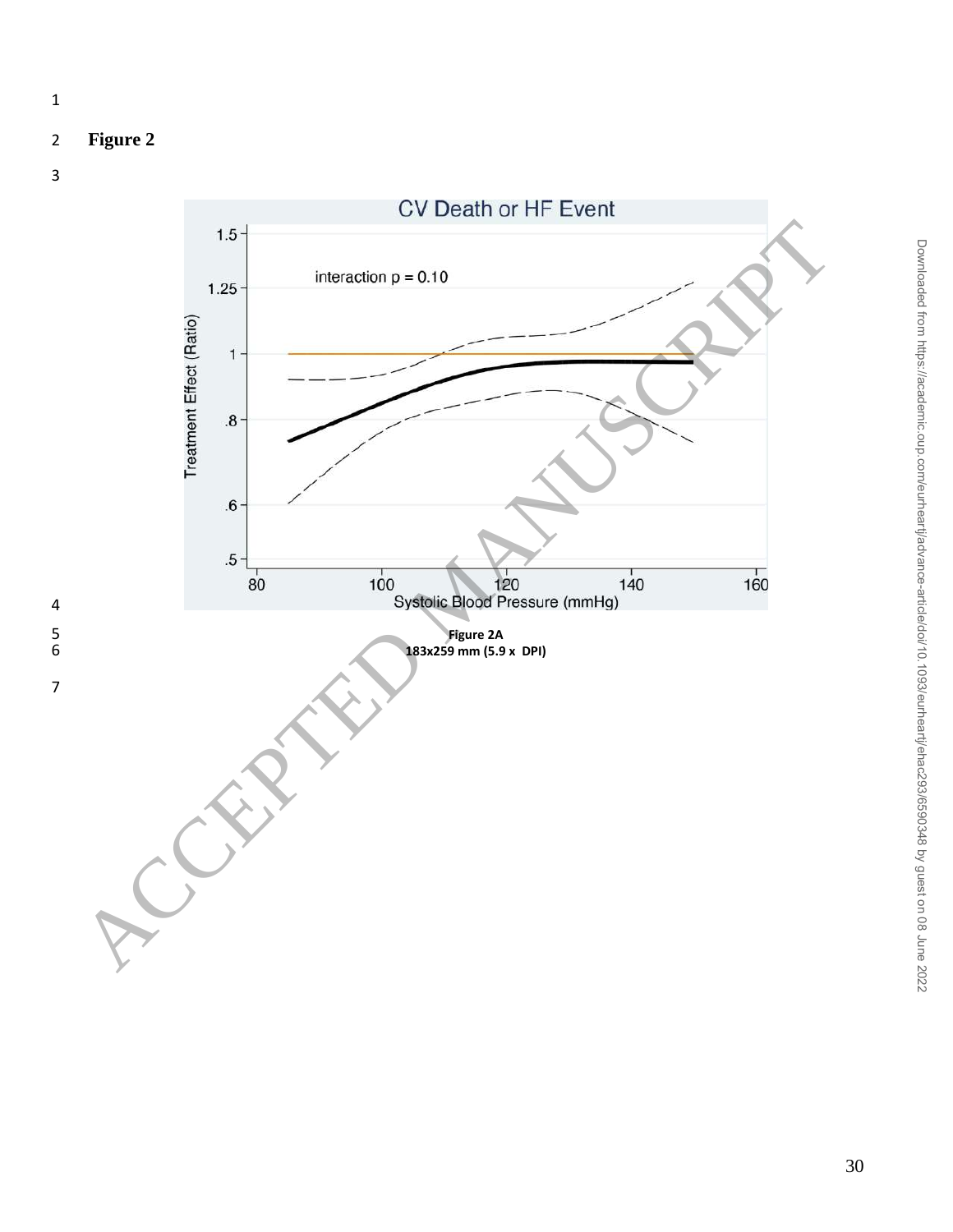## **Figure 2**

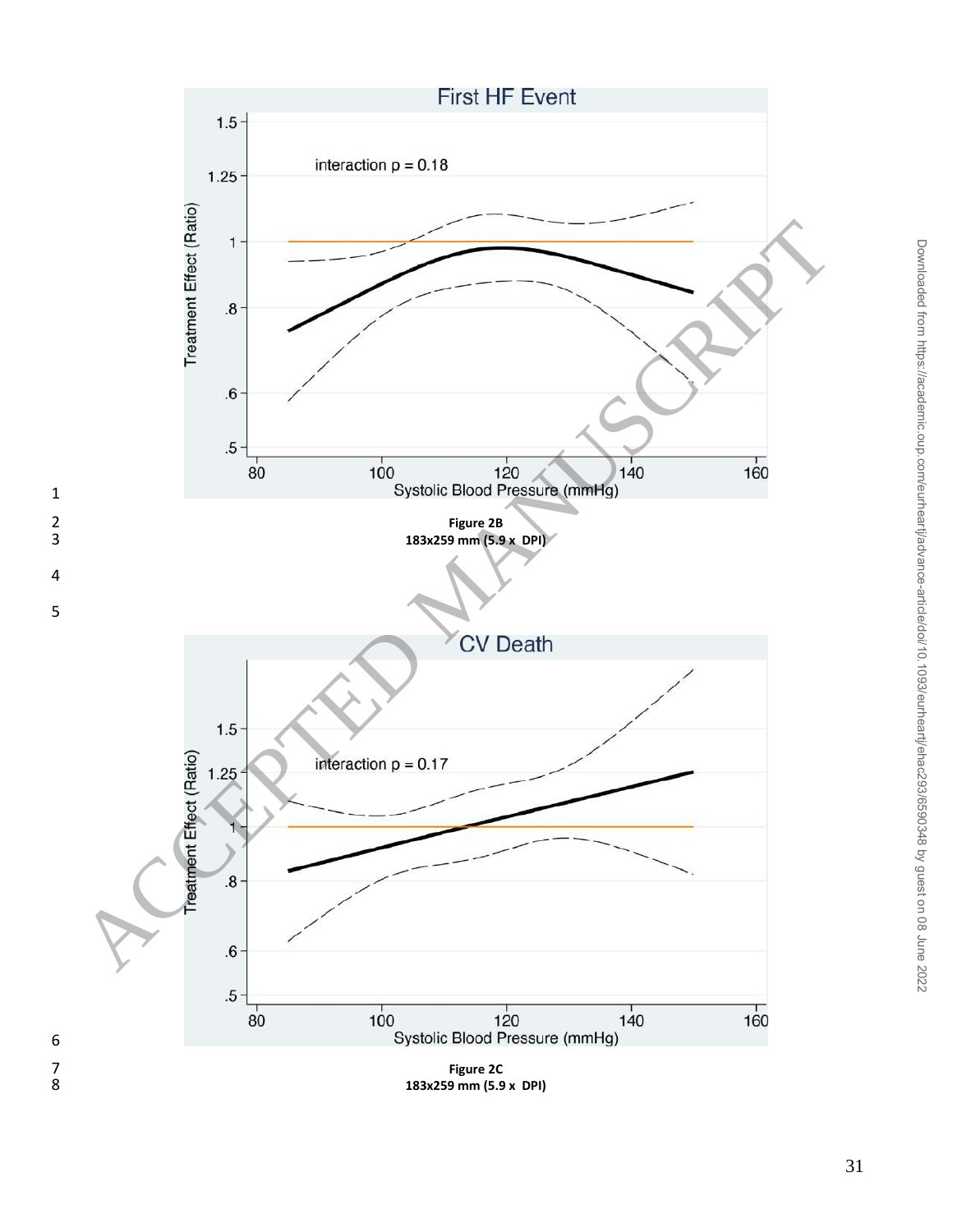

Downloaded from https://academic.oup.com/eurheartj/advance-article/doi/10.1093/eurheartj/ehac293/6590348 by guest on 08 June 2022

Downloaded from https://academic.oup.com/eurhearti/advance-article/doi/10.1093/eurhearti/ehac293/6590348 by guest on 08 June 2022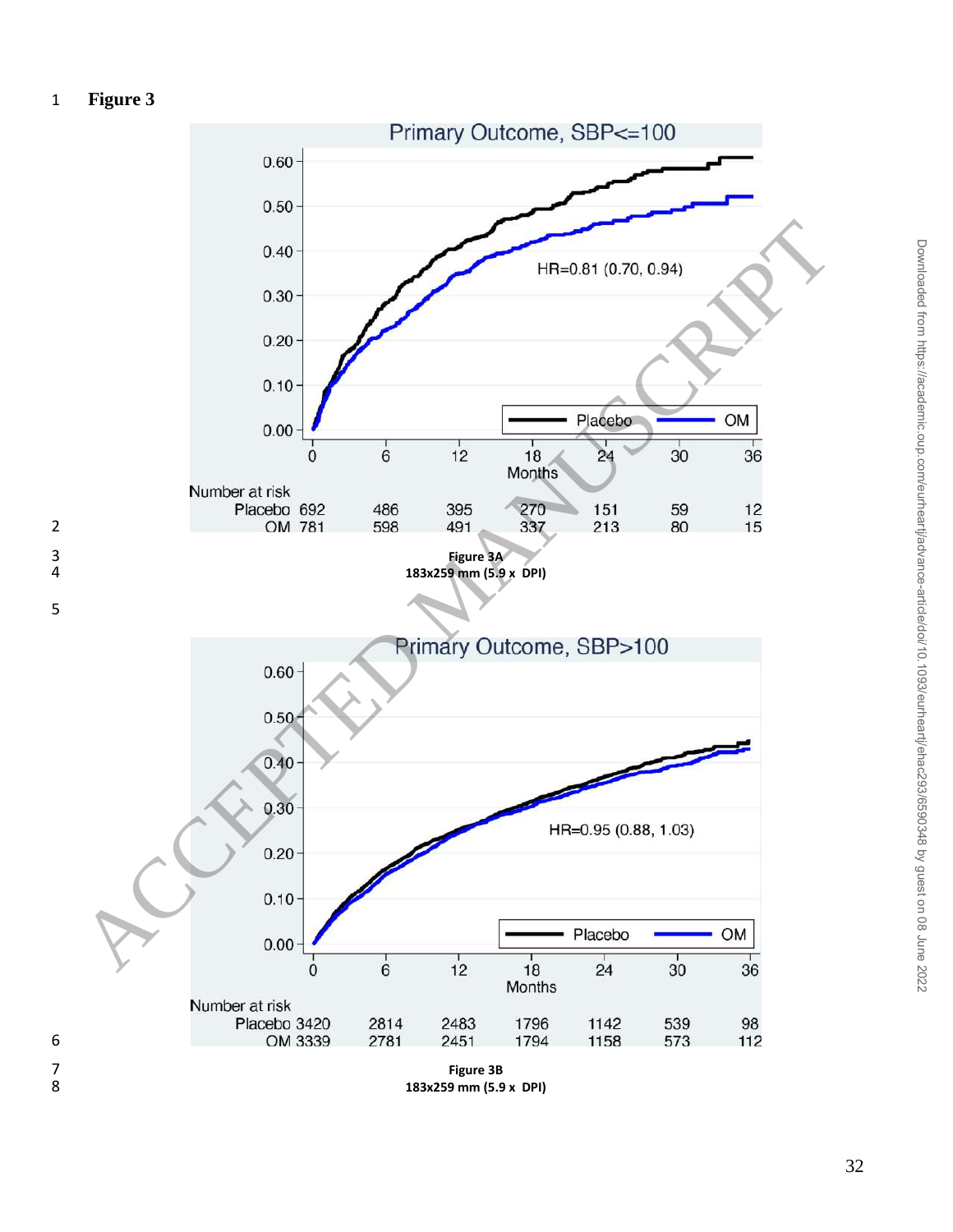